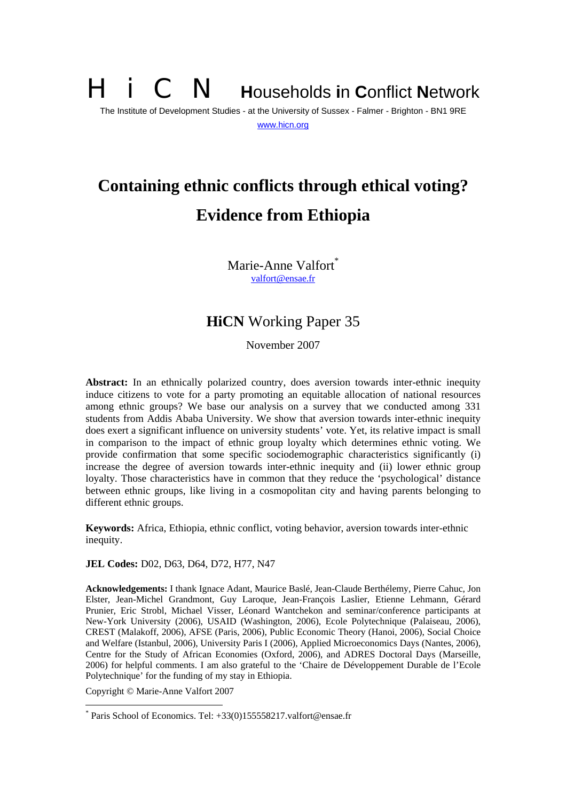## **i** C **N Households in Conflict Network** The Institute of Development Studies - at the University of Sussex - Falmer - Brighton - BN1 9RE www.hicn.org

# **Containing ethnic conflicts through ethical voting? Evidence from Ethiopia**

Marie-Anne Valfort<sup>\*</sup> valfort@ensae.fr

## **HiCN** Working Paper 35

November 2007

**Abstract:** In an ethnically polarized country, does aversion towards inter-ethnic inequity induce citizens to vote for a party promoting an equitable allocation of national resources among ethnic groups? We base our analysis on a survey that we conducted among 331 students from Addis Ababa University. We show that aversion towards inter-ethnic inequity does exert a significant influence on university students' vote. Yet, its relative impact is small in comparison to the impact of ethnic group loyalty which determines ethnic voting. We provide confirmation that some specific sociodemographic characteristics significantly (i) increase the degree of aversion towards inter-ethnic inequity and (ii) lower ethnic group loyalty. Those characteristics have in common that they reduce the 'psychological' distance between ethnic groups, like living in a cosmopolitan city and having parents belonging to different ethnic groups.

**Keywords:** Africa, Ethiopia, ethnic conflict, voting behavior, aversion towards inter-ethnic inequity.

**JEL Codes:** D02, D63, D64, D72, H77, N47

**Acknowledgements:** I thank Ignace Adant, Maurice Baslé, Jean-Claude Berthélemy, Pierre Cahuc, Jon Elster, Jean-Michel Grandmont, Guy Laroque, Jean-François Laslier, Etienne Lehmann, Gérard Prunier, Eric Strobl, Michael Visser, Léonard Wantchekon and seminar/conference participants at New-York University (2006), USAID (Washington, 2006), Ecole Polytechnique (Palaiseau, 2006), CREST (Malakoff, 2006), AFSE (Paris, 2006), Public Economic Theory (Hanoi, 2006), Social Choice and Welfare (Istanbul, 2006), University Paris I (2006), Applied Microeconomics Days (Nantes, 2006), Centre for the Study of African Economies (Oxford, 2006), and ADRES Doctoral Days (Marseille, 2006) for helpful comments. I am also grateful to the 'Chaire de Développement Durable de l'Ecole Polytechnique' for the funding of my stay in Ethiopia.

Copyright © Marie-Anne Valfort 2007

 $\overline{a}$ 

<sup>\*</sup> Paris School of Economics. Tel: +33(0)155558217.valfort@ensae.fr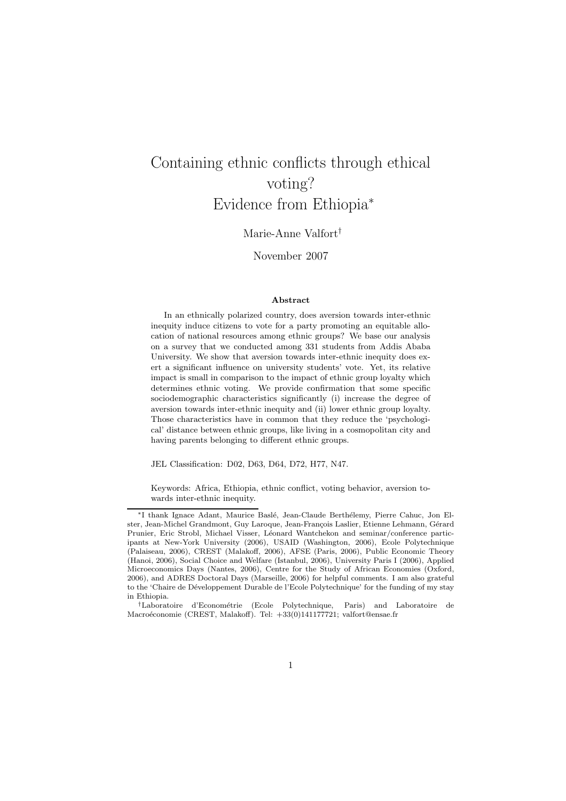## Containing ethnic conflicts through ethical voting? Evidence from Ethiopia<sup>∗</sup>

## Marie-Anne Valfort†

November 2007

#### Abstract

In an ethnically polarized country, does aversion towards inter-ethnic inequity induce citizens to vote for a party promoting an equitable allocation of national resources among ethnic groups? We base our analysis on a survey that we conducted among 331 students from Addis Ababa University. We show that aversion towards inter-ethnic inequity does exert a significant influence on university students' vote. Yet, its relative impact is small in comparison to the impact of ethnic group loyalty which determines ethnic voting. We provide confirmation that some specific sociodemographic characteristics significantly (i) increase the degree of aversion towards inter-ethnic inequity and (ii) lower ethnic group loyalty. Those characteristics have in common that they reduce the 'psychological' distance between ethnic groups, like living in a cosmopolitan city and having parents belonging to different ethnic groups.

JEL Classification: D02, D63, D64, D72, H77, N47.

Keywords: Africa, Ethiopia, ethnic conflict, voting behavior, aversion towards inter-ethnic inequity.

<sup>\*</sup>I thank Ignace Adant, Maurice Baslé, Jean-Claude Berthélemy, Pierre Cahuc, Jon Elster, Jean-Michel Grandmont, Guy Laroque, Jean-François Laslier, Etienne Lehmann, Gérard Prunier, Eric Strobl, Michael Visser, Léonard Wantchekon and seminar/conference participants at New-York University (2006), USAID (Washington, 2006), Ecole Polytechnique (Palaiseau, 2006), CREST (Malakoff, 2006), AFSE (Paris, 2006), Public Economic Theory (Hanoi, 2006), Social Choice and Welfare (Istanbul, 2006), University Paris I (2006), Applied Microeconomics Days (Nantes, 2006), Centre for the Study of African Economies (Oxford, 2006), and ADRES Doctoral Days (Marseille, 2006) for helpful comments. I am also grateful to the 'Chaire de Développement Durable de l'Ecole Polytechnique' for the funding of my stay in Ethiopia.

<sup>†</sup>Laboratoire d'Econom´etrie (Ecole Polytechnique, Paris) and Laboratoire de Macroéconomie (CREST, Malakoff). Tel: +33(0)141177721; valfort@ensae.fr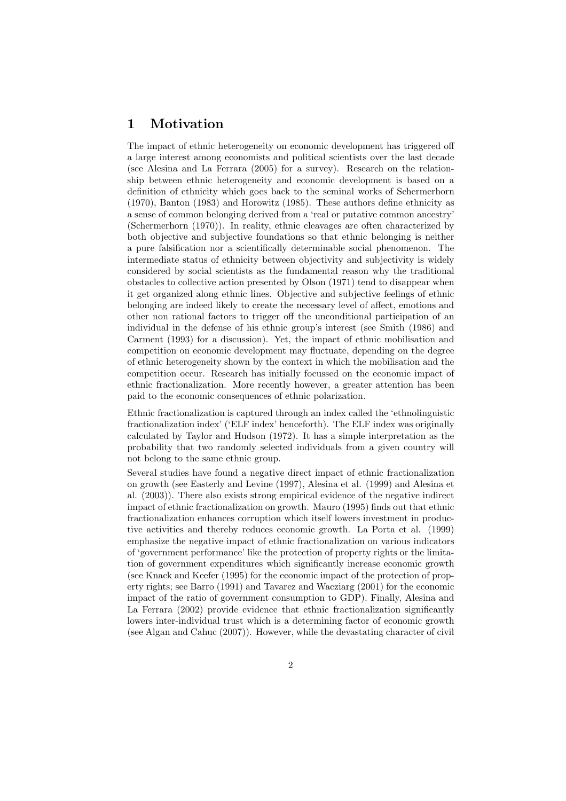## 1 Motivation

The impact of ethnic heterogeneity on economic development has triggered off a large interest among economists and political scientists over the last decade (see Alesina and La Ferrara (2005) for a survey). Research on the relationship between ethnic heterogeneity and economic development is based on a definition of ethnicity which goes back to the seminal works of Schermerhorn (1970), Banton (1983) and Horowitz (1985). These authors define ethnicity as a sense of common belonging derived from a 'real or putative common ancestry' (Schermerhorn (1970)). In reality, ethnic cleavages are often characterized by both objective and subjective foundations so that ethnic belonging is neither a pure falsification nor a scientifically determinable social phenomenon. The intermediate status of ethnicity between objectivity and subjectivity is widely considered by social scientists as the fundamental reason why the traditional obstacles to collective action presented by Olson (1971) tend to disappear when it get organized along ethnic lines. Objective and subjective feelings of ethnic belonging are indeed likely to create the necessary level of affect, emotions and other non rational factors to trigger off the unconditional participation of an individual in the defense of his ethnic group's interest (see Smith (1986) and Carment (1993) for a discussion). Yet, the impact of ethnic mobilisation and competition on economic development may fluctuate, depending on the degree of ethnic heterogeneity shown by the context in which the mobilisation and the competition occur. Research has initially focussed on the economic impact of ethnic fractionalization. More recently however, a greater attention has been paid to the economic consequences of ethnic polarization.

Ethnic fractionalization is captured through an index called the 'ethnolinguistic fractionalization index' ('ELF index' henceforth). The ELF index was originally calculated by Taylor and Hudson (1972). It has a simple interpretation as the probability that two randomly selected individuals from a given country will not belong to the same ethnic group.

Several studies have found a negative direct impact of ethnic fractionalization on growth (see Easterly and Levine (1997), Alesina et al. (1999) and Alesina et al. (2003)). There also exists strong empirical evidence of the negative indirect impact of ethnic fractionalization on growth. Mauro (1995) finds out that ethnic fractionalization enhances corruption which itself lowers investment in productive activities and thereby reduces economic growth. La Porta et al. (1999) emphasize the negative impact of ethnic fractionalization on various indicators of 'government performance' like the protection of property rights or the limitation of government expenditures which significantly increase economic growth (see Knack and Keefer (1995) for the economic impact of the protection of property rights; see Barro (1991) and Tavarez and Wacziarg (2001) for the economic impact of the ratio of government consumption to GDP). Finally, Alesina and La Ferrara (2002) provide evidence that ethnic fractionalization significantly lowers inter-individual trust which is a determining factor of economic growth (see Algan and Cahuc (2007)). However, while the devastating character of civil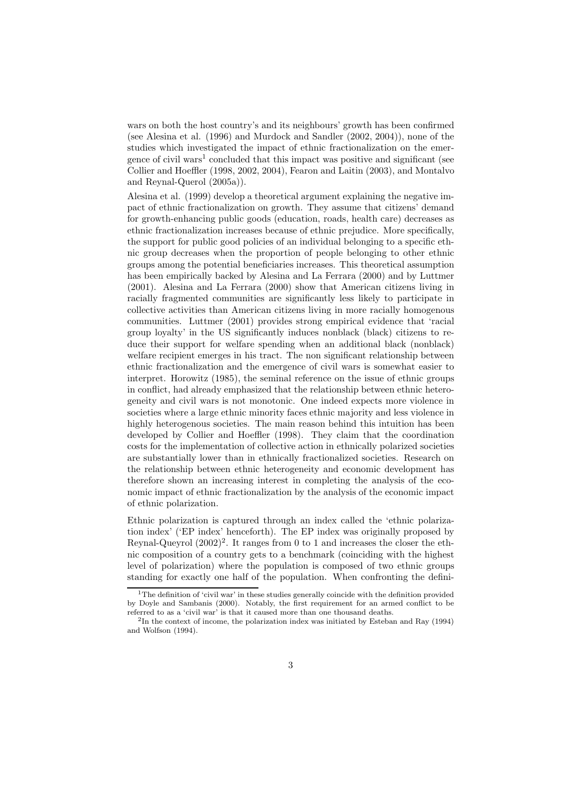wars on both the host country's and its neighbours' growth has been confirmed (see Alesina et al. (1996) and Murdock and Sandler (2002, 2004)), none of the studies which investigated the impact of ethnic fractionalization on the emergence of civil wars<sup>1</sup> concluded that this impact was positive and significant (see Collier and Hoeffler (1998, 2002, 2004), Fearon and Laitin (2003), and Montalvo and Reynal-Querol (2005a)).

Alesina et al. (1999) develop a theoretical argument explaining the negative impact of ethnic fractionalization on growth. They assume that citizens' demand for growth-enhancing public goods (education, roads, health care) decreases as ethnic fractionalization increases because of ethnic prejudice. More specifically, the support for public good policies of an individual belonging to a specific ethnic group decreases when the proportion of people belonging to other ethnic groups among the potential beneficiaries increases. This theoretical assumption has been empirically backed by Alesina and La Ferrara (2000) and by Luttmer (2001). Alesina and La Ferrara (2000) show that American citizens living in racially fragmented communities are significantly less likely to participate in collective activities than American citizens living in more racially homogenous communities. Luttmer (2001) provides strong empirical evidence that 'racial group loyalty' in the US significantly induces nonblack (black) citizens to reduce their support for welfare spending when an additional black (nonblack) welfare recipient emerges in his tract. The non significant relationship between ethnic fractionalization and the emergence of civil wars is somewhat easier to interpret. Horowitz (1985), the seminal reference on the issue of ethnic groups in conflict, had already emphasized that the relationship between ethnic heterogeneity and civil wars is not monotonic. One indeed expects more violence in societies where a large ethnic minority faces ethnic majority and less violence in highly heterogenous societies. The main reason behind this intuition has been developed by Collier and Hoeffler (1998). They claim that the coordination costs for the implementation of collective action in ethnically polarized societies are substantially lower than in ethnically fractionalized societies. Research on the relationship between ethnic heterogeneity and economic development has therefore shown an increasing interest in completing the analysis of the economic impact of ethnic fractionalization by the analysis of the economic impact of ethnic polarization.

Ethnic polarization is captured through an index called the 'ethnic polarization index' ('EP index' henceforth). The EP index was originally proposed by Reynal-Queyrol  $(2002)^2$ . It ranges from 0 to 1 and increases the closer the ethnic composition of a country gets to a benchmark (coinciding with the highest level of polarization) where the population is composed of two ethnic groups standing for exactly one half of the population. When confronting the defini-

<sup>&</sup>lt;sup>1</sup>The definition of 'civil war' in these studies generally coincide with the definition provided by Doyle and Sambanis (2000). Notably, the first requirement for an armed conflict to be referred to as a 'civil war' is that it caused more than one thousand deaths.

<sup>2</sup> In the context of income, the polarization index was initiated by Esteban and Ray (1994) and Wolfson (1994).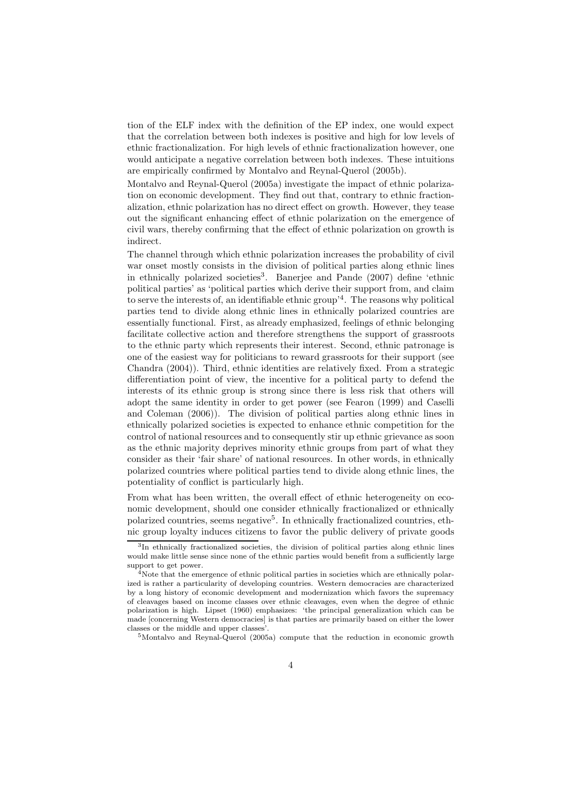tion of the ELF index with the definition of the EP index, one would expect that the correlation between both indexes is positive and high for low levels of ethnic fractionalization. For high levels of ethnic fractionalization however, one would anticipate a negative correlation between both indexes. These intuitions are empirically confirmed by Montalvo and Reynal-Querol (2005b).

Montalvo and Reynal-Querol (2005a) investigate the impact of ethnic polarization on economic development. They find out that, contrary to ethnic fractionalization, ethnic polarization has no direct effect on growth. However, they tease out the significant enhancing effect of ethnic polarization on the emergence of civil wars, thereby confirming that the effect of ethnic polarization on growth is indirect.

The channel through which ethnic polarization increases the probability of civil war onset mostly consists in the division of political parties along ethnic lines in ethnically polarized societies<sup>3</sup>. Banerjee and Pande (2007) define 'ethnic political parties' as 'political parties which derive their support from, and claim to serve the interests of, an identifiable ethnic group'<sup>4</sup> . The reasons why political parties tend to divide along ethnic lines in ethnically polarized countries are essentially functional. First, as already emphasized, feelings of ethnic belonging facilitate collective action and therefore strengthens the support of grassroots to the ethnic party which represents their interest. Second, ethnic patronage is one of the easiest way for politicians to reward grassroots for their support (see Chandra (2004)). Third, ethnic identities are relatively fixed. From a strategic differentiation point of view, the incentive for a political party to defend the interests of its ethnic group is strong since there is less risk that others will adopt the same identity in order to get power (see Fearon (1999) and Caselli and Coleman (2006)). The division of political parties along ethnic lines in ethnically polarized societies is expected to enhance ethnic competition for the control of national resources and to consequently stir up ethnic grievance as soon as the ethnic majority deprives minority ethnic groups from part of what they consider as their 'fair share' of national resources. In other words, in ethnically polarized countries where political parties tend to divide along ethnic lines, the potentiality of conflict is particularly high.

From what has been written, the overall effect of ethnic heterogeneity on economic development, should one consider ethnically fractionalized or ethnically polarized countries, seems negative<sup>5</sup>. In ethnically fractionalized countries, ethnic group loyalty induces citizens to favor the public delivery of private goods

<sup>5</sup>Montalvo and Reynal-Querol (2005a) compute that the reduction in economic growth

<sup>3</sup> In ethnically fractionalized societies, the division of political parties along ethnic lines would make little sense since none of the ethnic parties would benefit from a sufficiently large support to get power.

<sup>&</sup>lt;sup>4</sup>Note that the emergence of ethnic political parties in societies which are ethnically polarized is rather a particularity of developing countries. Western democracies are characterized by a long history of economic development and modernization which favors the supremacy of cleavages based on income classes over ethnic cleavages, even when the degree of ethnic polarization is high. Lipset (1960) emphasizes: 'the principal generalization which can be made [concerning Western democracies] is that parties are primarily based on either the lower classes or the middle and upper classes'.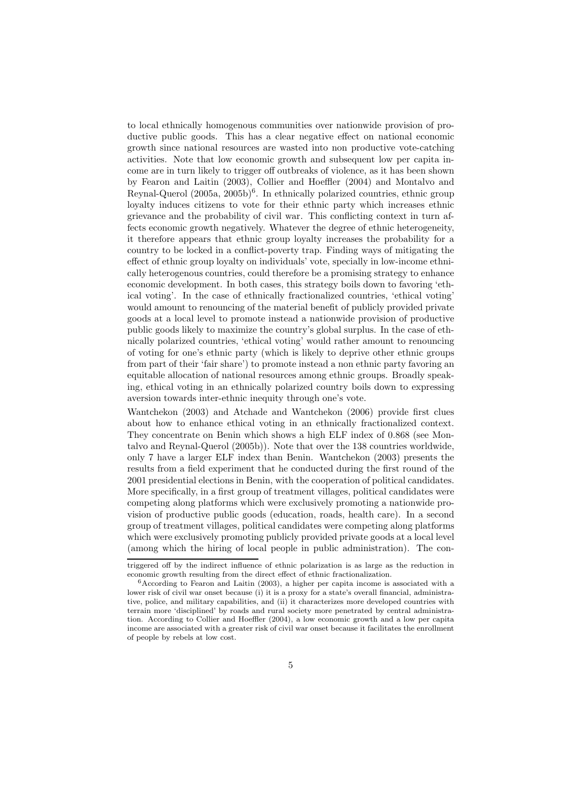to local ethnically homogenous communities over nationwide provision of productive public goods. This has a clear negative effect on national economic growth since national resources are wasted into non productive vote-catching activities. Note that low economic growth and subsequent low per capita income are in turn likely to trigger off outbreaks of violence, as it has been shown by Fearon and Laitin (2003), Collier and Hoeffler (2004) and Montalvo and Reynal-Querol  $(2005a, 2005b)^6$ . In ethnically polarized countries, ethnic group loyalty induces citizens to vote for their ethnic party which increases ethnic grievance and the probability of civil war. This conflicting context in turn affects economic growth negatively. Whatever the degree of ethnic heterogeneity, it therefore appears that ethnic group loyalty increases the probability for a country to be locked in a conflict-poverty trap. Finding ways of mitigating the effect of ethnic group loyalty on individuals' vote, specially in low-income ethnically heterogenous countries, could therefore be a promising strategy to enhance economic development. In both cases, this strategy boils down to favoring 'ethical voting'. In the case of ethnically fractionalized countries, 'ethical voting' would amount to renouncing of the material benefit of publicly provided private goods at a local level to promote instead a nationwide provision of productive public goods likely to maximize the country's global surplus. In the case of ethnically polarized countries, 'ethical voting' would rather amount to renouncing of voting for one's ethnic party (which is likely to deprive other ethnic groups from part of their 'fair share') to promote instead a non ethnic party favoring an equitable allocation of national resources among ethnic groups. Broadly speaking, ethical voting in an ethnically polarized country boils down to expressing aversion towards inter-ethnic inequity through one's vote.

Wantchekon (2003) and Atchade and Wantchekon (2006) provide first clues about how to enhance ethical voting in an ethnically fractionalized context. They concentrate on Benin which shows a high ELF index of 0.868 (see Montalvo and Reynal-Querol (2005b)). Note that over the 138 countries worldwide, only 7 have a larger ELF index than Benin. Wantchekon (2003) presents the results from a field experiment that he conducted during the first round of the 2001 presidential elections in Benin, with the cooperation of political candidates. More specifically, in a first group of treatment villages, political candidates were competing along platforms which were exclusively promoting a nationwide provision of productive public goods (education, roads, health care). In a second group of treatment villages, political candidates were competing along platforms which were exclusively promoting publicly provided private goods at a local level (among which the hiring of local people in public administration). The con-

triggered off by the indirect influence of ethnic polarization is as large as the reduction in economic growth resulting from the direct effect of ethnic fractionalization.

 $6$ According to Fearon and Laitin (2003), a higher per capita income is associated with a lower risk of civil war onset because (i) it is a proxy for a state's overall financial, administrative, police, and military capabilities, and (ii) it characterizes more developed countries with terrain more 'disciplined' by roads and rural society more penetrated by central administration. According to Collier and Hoeffler (2004), a low economic growth and a low per capita income are associated with a greater risk of civil war onset because it facilitates the enrollment of people by rebels at low cost.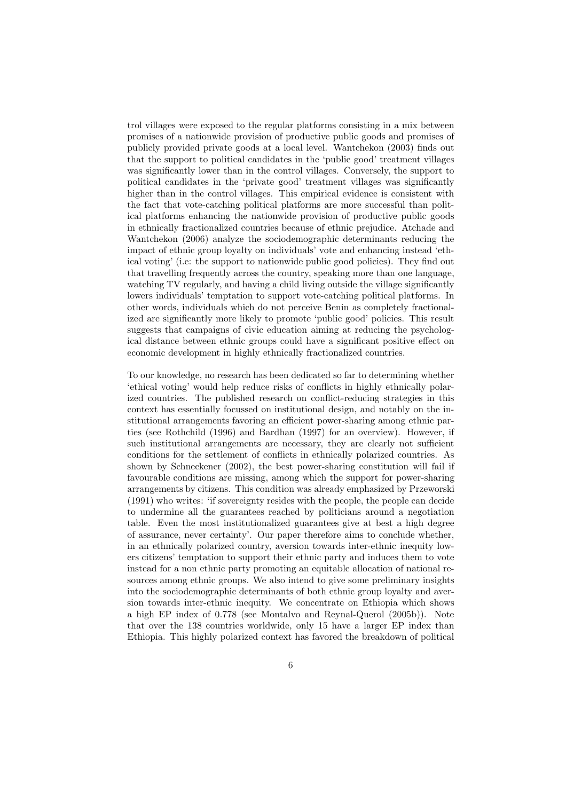trol villages were exposed to the regular platforms consisting in a mix between promises of a nationwide provision of productive public goods and promises of publicly provided private goods at a local level. Wantchekon (2003) finds out that the support to political candidates in the 'public good' treatment villages was significantly lower than in the control villages. Conversely, the support to political candidates in the 'private good' treatment villages was significantly higher than in the control villages. This empirical evidence is consistent with the fact that vote-catching political platforms are more successful than political platforms enhancing the nationwide provision of productive public goods in ethnically fractionalized countries because of ethnic prejudice. Atchade and Wantchekon (2006) analyze the sociodemographic determinants reducing the impact of ethnic group loyalty on individuals' vote and enhancing instead 'ethical voting' (i.e: the support to nationwide public good policies). They find out that travelling frequently across the country, speaking more than one language, watching TV regularly, and having a child living outside the village significantly lowers individuals' temptation to support vote-catching political platforms. In other words, individuals which do not perceive Benin as completely fractionalized are significantly more likely to promote 'public good' policies. This result suggests that campaigns of civic education aiming at reducing the psychological distance between ethnic groups could have a significant positive effect on economic development in highly ethnically fractionalized countries.

To our knowledge, no research has been dedicated so far to determining whether 'ethical voting' would help reduce risks of conflicts in highly ethnically polarized countries. The published research on conflict-reducing strategies in this context has essentially focussed on institutional design, and notably on the institutional arrangements favoring an efficient power-sharing among ethnic parties (see Rothchild (1996) and Bardhan (1997) for an overview). However, if such institutional arrangements are necessary, they are clearly not sufficient conditions for the settlement of conflicts in ethnically polarized countries. As shown by Schneckener (2002), the best power-sharing constitution will fail if favourable conditions are missing, among which the support for power-sharing arrangements by citizens. This condition was already emphasized by Przeworski (1991) who writes: 'if sovereignty resides with the people, the people can decide to undermine all the guarantees reached by politicians around a negotiation table. Even the most institutionalized guarantees give at best a high degree of assurance, never certainty'. Our paper therefore aims to conclude whether, in an ethnically polarized country, aversion towards inter-ethnic inequity lowers citizens' temptation to support their ethnic party and induces them to vote instead for a non ethnic party promoting an equitable allocation of national resources among ethnic groups. We also intend to give some preliminary insights into the sociodemographic determinants of both ethnic group loyalty and aversion towards inter-ethnic inequity. We concentrate on Ethiopia which shows a high EP index of 0.778 (see Montalvo and Reynal-Querol (2005b)). Note that over the 138 countries worldwide, only 15 have a larger EP index than Ethiopia. This highly polarized context has favored the breakdown of political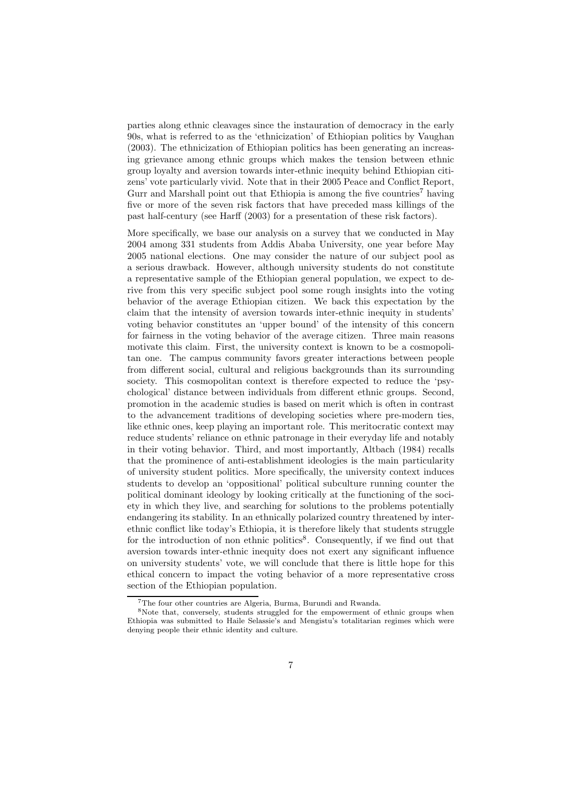parties along ethnic cleavages since the instauration of democracy in the early 90s, what is referred to as the 'ethnicization' of Ethiopian politics by Vaughan (2003). The ethnicization of Ethiopian politics has been generating an increasing grievance among ethnic groups which makes the tension between ethnic group loyalty and aversion towards inter-ethnic inequity behind Ethiopian citizens' vote particularly vivid. Note that in their 2005 Peace and Conflict Report, Gurr and Marshall point out that Ethiopia is among the five countries<sup>7</sup> having five or more of the seven risk factors that have preceded mass killings of the past half-century (see Harff (2003) for a presentation of these risk factors).

More specifically, we base our analysis on a survey that we conducted in May 2004 among 331 students from Addis Ababa University, one year before May 2005 national elections. One may consider the nature of our subject pool as a serious drawback. However, although university students do not constitute a representative sample of the Ethiopian general population, we expect to derive from this very specific subject pool some rough insights into the voting behavior of the average Ethiopian citizen. We back this expectation by the claim that the intensity of aversion towards inter-ethnic inequity in students' voting behavior constitutes an 'upper bound' of the intensity of this concern for fairness in the voting behavior of the average citizen. Three main reasons motivate this claim. First, the university context is known to be a cosmopolitan one. The campus community favors greater interactions between people from different social, cultural and religious backgrounds than its surrounding society. This cosmopolitan context is therefore expected to reduce the 'psychological' distance between individuals from different ethnic groups. Second, promotion in the academic studies is based on merit which is often in contrast to the advancement traditions of developing societies where pre-modern ties, like ethnic ones, keep playing an important role. This meritocratic context may reduce students' reliance on ethnic patronage in their everyday life and notably in their voting behavior. Third, and most importantly, Altbach (1984) recalls that the prominence of anti-establishment ideologies is the main particularity of university student politics. More specifically, the university context induces students to develop an 'oppositional' political subculture running counter the political dominant ideology by looking critically at the functioning of the society in which they live, and searching for solutions to the problems potentially endangering its stability. In an ethnically polarized country threatened by interethnic conflict like today's Ethiopia, it is therefore likely that students struggle for the introduction of non ethnic politics<sup>8</sup>. Consequently, if we find out that aversion towards inter-ethnic inequity does not exert any significant influence on university students' vote, we will conclude that there is little hope for this ethical concern to impact the voting behavior of a more representative cross section of the Ethiopian population.

<sup>7</sup>The four other countries are Algeria, Burma, Burundi and Rwanda.

<sup>8</sup>Note that, conversely, students struggled for the empowerment of ethnic groups when Ethiopia was submitted to Haile Selassie's and Mengistu's totalitarian regimes which were denying people their ethnic identity and culture.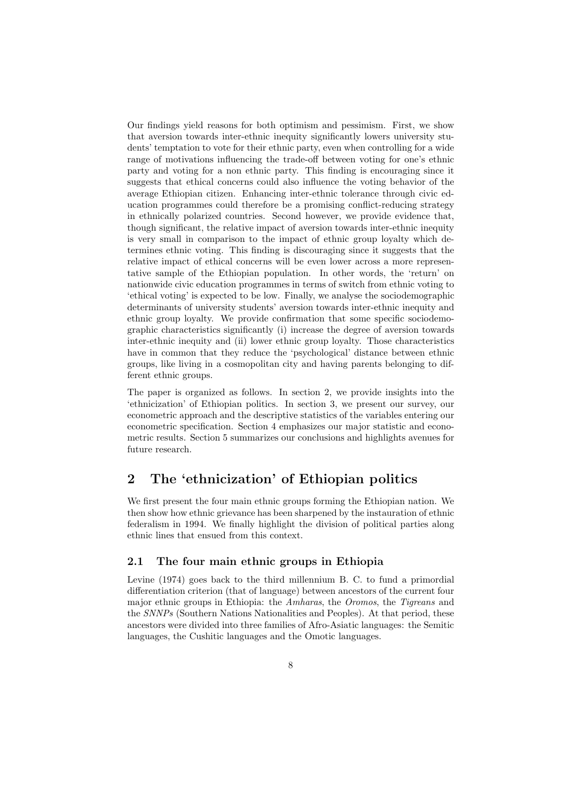Our findings yield reasons for both optimism and pessimism. First, we show that aversion towards inter-ethnic inequity significantly lowers university students' temptation to vote for their ethnic party, even when controlling for a wide range of motivations influencing the trade-off between voting for one's ethnic party and voting for a non ethnic party. This finding is encouraging since it suggests that ethical concerns could also influence the voting behavior of the average Ethiopian citizen. Enhancing inter-ethnic tolerance through civic education programmes could therefore be a promising conflict-reducing strategy in ethnically polarized countries. Second however, we provide evidence that, though significant, the relative impact of aversion towards inter-ethnic inequity is very small in comparison to the impact of ethnic group loyalty which determines ethnic voting. This finding is discouraging since it suggests that the relative impact of ethical concerns will be even lower across a more representative sample of the Ethiopian population. In other words, the 'return' on nationwide civic education programmes in terms of switch from ethnic voting to 'ethical voting' is expected to be low. Finally, we analyse the sociodemographic determinants of university students' aversion towards inter-ethnic inequity and ethnic group loyalty. We provide confirmation that some specific sociodemographic characteristics significantly (i) increase the degree of aversion towards inter-ethnic inequity and (ii) lower ethnic group loyalty. Those characteristics have in common that they reduce the 'psychological' distance between ethnic groups, like living in a cosmopolitan city and having parents belonging to different ethnic groups.

The paper is organized as follows. In section 2, we provide insights into the 'ethnicization' of Ethiopian politics. In section 3, we present our survey, our econometric approach and the descriptive statistics of the variables entering our econometric specification. Section 4 emphasizes our major statistic and econometric results. Section 5 summarizes our conclusions and highlights avenues for future research.

## 2 The 'ethnicization' of Ethiopian politics

We first present the four main ethnic groups forming the Ethiopian nation. We then show how ethnic grievance has been sharpened by the instauration of ethnic federalism in 1994. We finally highlight the division of political parties along ethnic lines that ensued from this context.

### 2.1 The four main ethnic groups in Ethiopia

Levine (1974) goes back to the third millennium B. C. to fund a primordial differentiation criterion (that of language) between ancestors of the current four major ethnic groups in Ethiopia: the Amharas, the Oromos, the Tigreans and the SNNPs (Southern Nations Nationalities and Peoples). At that period, these ancestors were divided into three families of Afro-Asiatic languages: the Semitic languages, the Cushitic languages and the Omotic languages.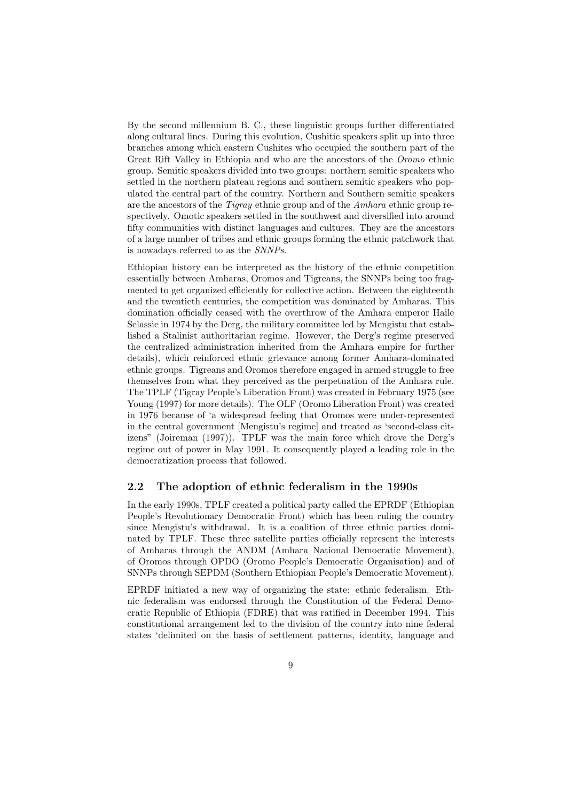By the second millennium B. C., these linguistic groups further differentiated along cultural lines. During this evolution, Cushitic speakers split up into three branches among which eastern Cushites who occupied the southern part of the Great Rift Valley in Ethiopia and who are the ancestors of the Oromo ethnic group. Semitic speakers divided into two groups: northern semitic speakers who settled in the northern plateau regions and southern semitic speakers who populated the central part of the country. Northern and Southern semitic speakers are the ancestors of the Tigray ethnic group and of the Amhara ethnic group respectively. Omotic speakers settled in the southwest and diversified into around fifty communities with distinct languages and cultures. They are the ancestors of a large number of tribes and ethnic groups forming the ethnic patchwork that is nowadays referred to as the SNNPs.

Ethiopian history can be interpreted as the history of the ethnic competition essentially between Amharas, Oromos and Tigreans, the SNNPs being too fragmented to get organized efficiently for collective action. Between the eighteenth and the twentieth centuries, the competition was dominated by Amharas. This domination officially ceased with the overthrow of the Amhara emperor Haile Selassie in 1974 by the Derg, the military committee led by Mengistu that established a Stalinist authoritarian regime. However, the Derg's regime preserved the centralized administration inherited from the Amhara empire for further details), which reinforced ethnic grievance among former Amhara-dominated ethnic groups. Tigreans and Oromos therefore engaged in armed struggle to free themselves from what they perceived as the perpetuation of the Amhara rule. The TPLF (Tigray People's Liberation Front) was created in February 1975 (see Young (1997) for more details). The OLF (Oromo Liberation Front) was created in 1976 because of 'a widespread feeling that Oromos were under-represented in the central government [Mengistu's regime] and treated as 'second-class citizens" (Joireman (1997)). TPLF was the main force which drove the Derg's regime out of power in May 1991. It consequently played a leading role in the democratization process that followed.

#### 2.2 The adoption of ethnic federalism in the 1990s

In the early 1990s, TPLF created a political party called the EPRDF (Ethiopian People's Revolutionary Democratic Front) which has been ruling the country since Mengistu's withdrawal. It is a coalition of three ethnic parties dominated by TPLF. These three satellite parties officially represent the interests of Amharas through the ANDM (Amhara National Democratic Movement), of Oromos through OPDO (Oromo People's Democratic Organisation) and of SNNPs through SEPDM (Southern Ethiopian People's Democratic Movement).

EPRDF initiated a new way of organizing the state: ethnic federalism. Ethnic federalism was endorsed through the Constitution of the Federal Democratic Republic of Ethiopia (FDRE) that was ratified in December 1994. This constitutional arrangement led to the division of the country into nine federal states 'delimited on the basis of settlement patterns, identity, language and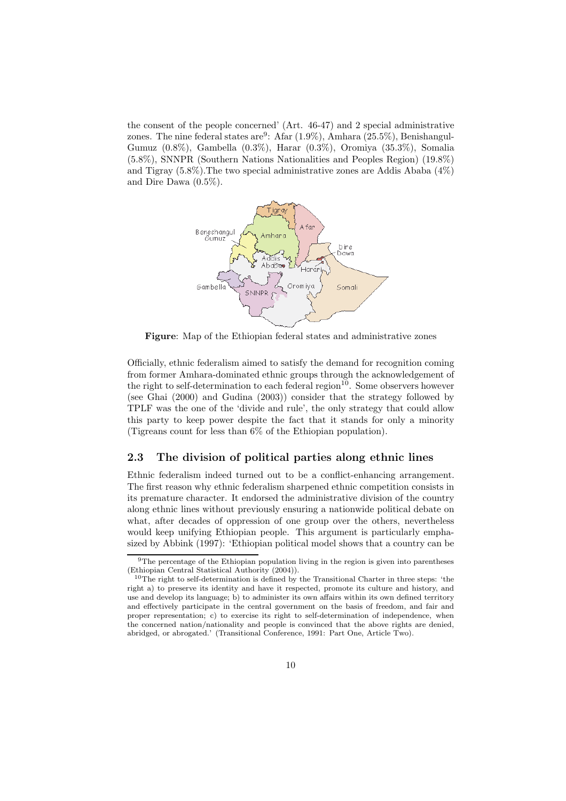the consent of the people concerned' (Art. 46-47) and 2 special administrative zones. The nine federal states are<sup>9</sup>: Afar  $(1.9\%)$ , Amhara  $(25.5\%)$ , Benishangul-Gumuz (0.8%), Gambella (0.3%), Harar (0.3%), Oromiya (35.3%), Somalia (5.8%), SNNPR (Southern Nations Nationalities and Peoples Region) (19.8%) and Tigray (5.8%).The two special administrative zones are Addis Ababa (4%) and Dire Dawa (0.5%).



Figure: Map of the Ethiopian federal states and administrative zones

Officially, ethnic federalism aimed to satisfy the demand for recognition coming from former Amhara-dominated ethnic groups through the acknowledgement of the right to self-determination to each federal region $10$ . Some observers however (see Ghai (2000) and Gudina (2003)) consider that the strategy followed by TPLF was the one of the 'divide and rule', the only strategy that could allow this party to keep power despite the fact that it stands for only a minority (Tigreans count for less than 6% of the Ethiopian population).

## 2.3 The division of political parties along ethnic lines

Ethnic federalism indeed turned out to be a conflict-enhancing arrangement. The first reason why ethnic federalism sharpened ethnic competition consists in its premature character. It endorsed the administrative division of the country along ethnic lines without previously ensuring a nationwide political debate on what, after decades of oppression of one group over the others, nevertheless would keep unifying Ethiopian people. This argument is particularly emphasized by Abbink (1997): 'Ethiopian political model shows that a country can be

<sup>&</sup>lt;sup>9</sup>The percentage of the Ethiopian population living in the region is given into parentheses (Ethiopian Central Statistical Authority (2004)).

 $10$ The right to self-determination is defined by the Transitional Charter in three steps: 'the right a) to preserve its identity and have it respected, promote its culture and history, and use and develop its language; b) to administer its own affairs within its own defined territory and effectively participate in the central government on the basis of freedom, and fair and proper representation; c) to exercise its right to self-determination of independence, when the concerned nation/nationality and people is convinced that the above rights are denied, abridged, or abrogated.' (Transitional Conference, 1991: Part One, Article Two).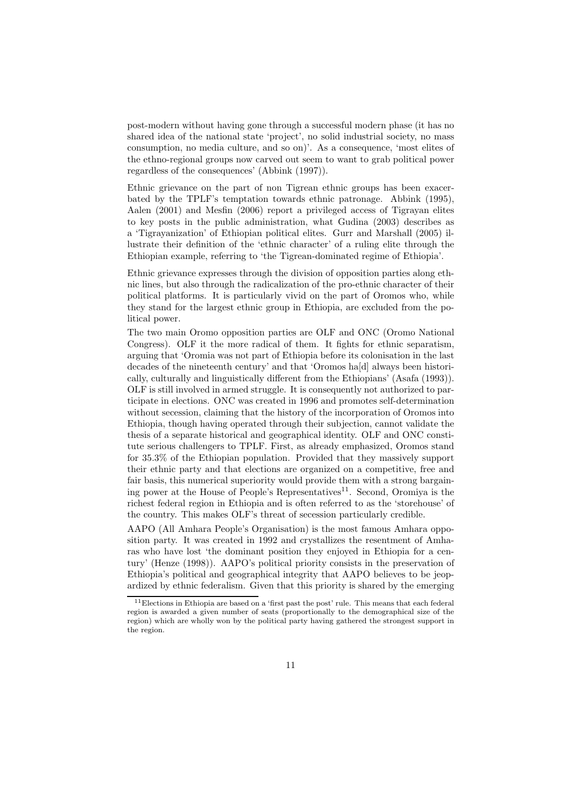post-modern without having gone through a successful modern phase (it has no shared idea of the national state 'project', no solid industrial society, no mass consumption, no media culture, and so on)'. As a consequence, 'most elites of the ethno-regional groups now carved out seem to want to grab political power regardless of the consequences' (Abbink (1997)).

Ethnic grievance on the part of non Tigrean ethnic groups has been exacerbated by the TPLF's temptation towards ethnic patronage. Abbink (1995), Aalen (2001) and Mesfin (2006) report a privileged access of Tigrayan elites to key posts in the public administration, what Gudina (2003) describes as a 'Tigrayanization' of Ethiopian political elites. Gurr and Marshall (2005) illustrate their definition of the 'ethnic character' of a ruling elite through the Ethiopian example, referring to 'the Tigrean-dominated regime of Ethiopia'.

Ethnic grievance expresses through the division of opposition parties along ethnic lines, but also through the radicalization of the pro-ethnic character of their political platforms. It is particularly vivid on the part of Oromos who, while they stand for the largest ethnic group in Ethiopia, are excluded from the political power.

The two main Oromo opposition parties are OLF and ONC (Oromo National Congress). OLF it the more radical of them. It fights for ethnic separatism, arguing that 'Oromia was not part of Ethiopia before its colonisation in the last decades of the nineteenth century' and that 'Oromos ha[d] always been historically, culturally and linguistically different from the Ethiopians' (Asafa (1993)). OLF is still involved in armed struggle. It is consequently not authorized to participate in elections. ONC was created in 1996 and promotes self-determination without secession, claiming that the history of the incorporation of Oromos into Ethiopia, though having operated through their subjection, cannot validate the thesis of a separate historical and geographical identity. OLF and ONC constitute serious challengers to TPLF. First, as already emphasized, Oromos stand for 35.3% of the Ethiopian population. Provided that they massively support their ethnic party and that elections are organized on a competitive, free and fair basis, this numerical superiority would provide them with a strong bargaining power at the House of People's Representatives<sup>11</sup>. Second, Oromiya is the richest federal region in Ethiopia and is often referred to as the 'storehouse' of the country. This makes OLF's threat of secession particularly credible.

AAPO (All Amhara People's Organisation) is the most famous Amhara opposition party. It was created in 1992 and crystallizes the resentment of Amharas who have lost 'the dominant position they enjoyed in Ethiopia for a century' (Henze (1998)). AAPO's political priority consists in the preservation of Ethiopia's political and geographical integrity that AAPO believes to be jeopardized by ethnic federalism. Given that this priority is shared by the emerging

 $^{11}$  Elections in Ethiopia are based on a 'first past the post' rule. This means that each federal region is awarded a given number of seats (proportionally to the demographical size of the region) which are wholly won by the political party having gathered the strongest support in the region.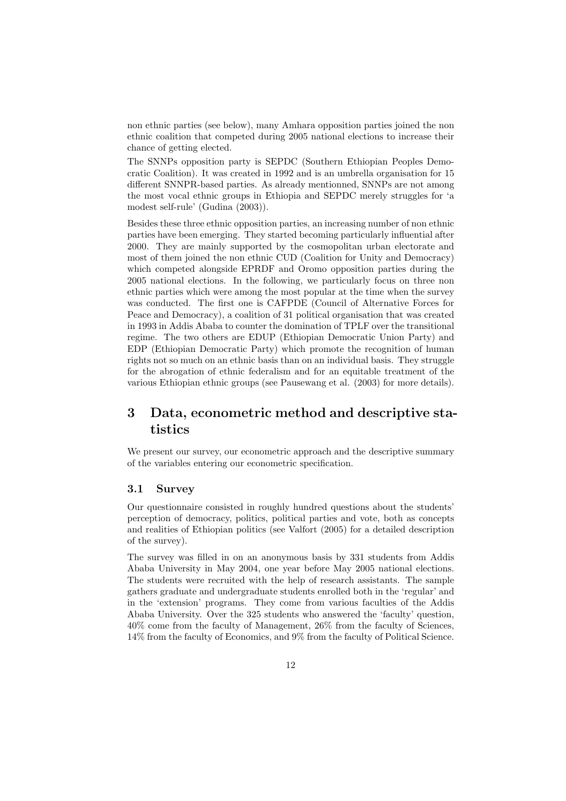non ethnic parties (see below), many Amhara opposition parties joined the non ethnic coalition that competed during 2005 national elections to increase their chance of getting elected.

The SNNPs opposition party is SEPDC (Southern Ethiopian Peoples Democratic Coalition). It was created in 1992 and is an umbrella organisation for 15 different SNNPR-based parties. As already mentionned, SNNPs are not among the most vocal ethnic groups in Ethiopia and SEPDC merely struggles for 'a modest self-rule' (Gudina (2003)).

Besides these three ethnic opposition parties, an increasing number of non ethnic parties have been emerging. They started becoming particularly influential after 2000. They are mainly supported by the cosmopolitan urban electorate and most of them joined the non ethnic CUD (Coalition for Unity and Democracy) which competed alongside EPRDF and Oromo opposition parties during the 2005 national elections. In the following, we particularly focus on three non ethnic parties which were among the most popular at the time when the survey was conducted. The first one is CAFPDE (Council of Alternative Forces for Peace and Democracy), a coalition of 31 political organisation that was created in 1993 in Addis Ababa to counter the domination of TPLF over the transitional regime. The two others are EDUP (Ethiopian Democratic Union Party) and EDP (Ethiopian Democratic Party) which promote the recognition of human rights not so much on an ethnic basis than on an individual basis. They struggle for the abrogation of ethnic federalism and for an equitable treatment of the various Ethiopian ethnic groups (see Pausewang et al. (2003) for more details).

## 3 Data, econometric method and descriptive statistics

We present our survey, our econometric approach and the descriptive summary of the variables entering our econometric specification.

#### 3.1 Survey

Our questionnaire consisted in roughly hundred questions about the students' perception of democracy, politics, political parties and vote, both as concepts and realities of Ethiopian politics (see Valfort (2005) for a detailed description of the survey).

The survey was filled in on an anonymous basis by 331 students from Addis Ababa University in May 2004, one year before May 2005 national elections. The students were recruited with the help of research assistants. The sample gathers graduate and undergraduate students enrolled both in the 'regular' and in the 'extension' programs. They come from various faculties of the Addis Ababa University. Over the 325 students who answered the 'faculty' question, 40% come from the faculty of Management, 26% from the faculty of Sciences, 14% from the faculty of Economics, and 9% from the faculty of Political Science.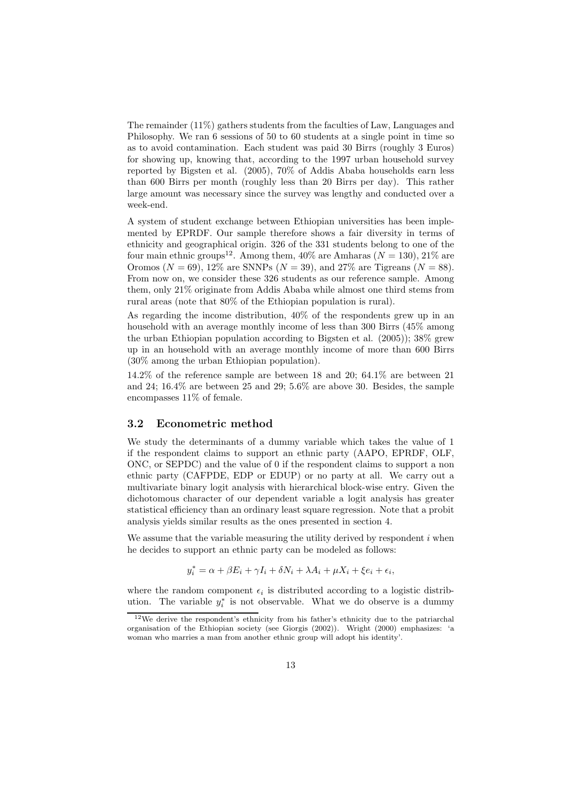The remainder  $(11\%)$  gathers students from the faculties of Law, Languages and Philosophy. We ran 6 sessions of 50 to 60 students at a single point in time so as to avoid contamination. Each student was paid 30 Birrs (roughly 3 Euros) for showing up, knowing that, according to the 1997 urban household survey reported by Bigsten et al. (2005), 70% of Addis Ababa households earn less than 600 Birrs per month (roughly less than 20 Birrs per day). This rather large amount was necessary since the survey was lengthy and conducted over a week-end.

A system of student exchange between Ethiopian universities has been implemented by EPRDF. Our sample therefore shows a fair diversity in terms of ethnicity and geographical origin. 326 of the 331 students belong to one of the four main ethnic groups<sup>12</sup>. Among them, 40% are Amharas ( $N = 130$ ), 21% are Oromos ( $N = 69$ ), 12% are SNNPs ( $N = 39$ ), and 27% are Tigreans ( $N = 88$ ). From now on, we consider these 326 students as our reference sample. Among them, only 21% originate from Addis Ababa while almost one third stems from rural areas (note that 80% of the Ethiopian population is rural).

As regarding the income distribution, 40% of the respondents grew up in an household with an average monthly income of less than 300 Birrs (45% among the urban Ethiopian population according to Bigsten et al. (2005)); 38% grew up in an household with an average monthly income of more than 600 Birrs (30% among the urban Ethiopian population).

14.2% of the reference sample are between 18 and 20; 64.1% are between 21 and 24; 16.4% are between 25 and 29; 5.6% are above 30. Besides, the sample encompasses 11% of female.

#### 3.2 Econometric method

We study the determinants of a dummy variable which takes the value of 1 if the respondent claims to support an ethnic party (AAPO, EPRDF, OLF, ONC, or SEPDC) and the value of 0 if the respondent claims to support a non ethnic party (CAFPDE, EDP or EDUP) or no party at all. We carry out a multivariate binary logit analysis with hierarchical block-wise entry. Given the dichotomous character of our dependent variable a logit analysis has greater statistical efficiency than an ordinary least square regression. Note that a probit analysis yields similar results as the ones presented in section 4.

We assume that the variable measuring the utility derived by respondent  $i$  when he decides to support an ethnic party can be modeled as follows:

$$
y_i^* = \alpha + \beta E_i + \gamma I_i + \delta N_i + \lambda A_i + \mu X_i + \xi e_i + \epsilon_i,
$$

where the random component  $\epsilon_i$  is distributed according to a logistic distribution. The variable  $y_i^*$  is not observable. What we do observe is a dummy

<sup>12</sup>We derive the respondent's ethnicity from his father's ethnicity due to the patriarchal organisation of the Ethiopian society (see Giorgis (2002)). Wright (2000) emphasizes: 'a woman who marries a man from another ethnic group will adopt his identity'.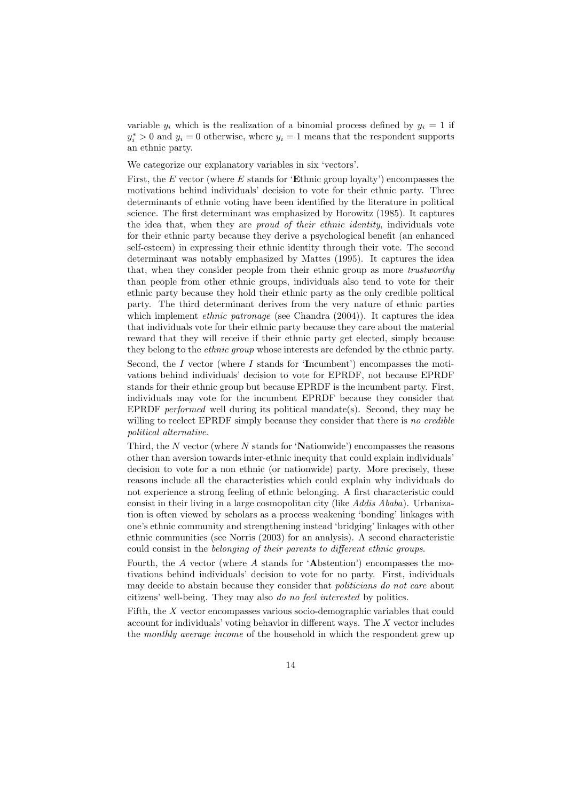variable  $y_i$  which is the realization of a binomial process defined by  $y_i = 1$  if  $y_i^* > 0$  and  $y_i = 0$  otherwise, where  $y_i = 1$  means that the respondent supports an ethnic party.

#### We categorize our explanatory variables in six 'vectors'.

First, the  $E$  vector (where  $E$  stands for 'Ethnic group loyalty') encompasses the motivations behind individuals' decision to vote for their ethnic party. Three determinants of ethnic voting have been identified by the literature in political science. The first determinant was emphasized by Horowitz (1985). It captures the idea that, when they are proud of their ethnic identity, individuals vote for their ethnic party because they derive a psychological benefit (an enhanced self-esteem) in expressing their ethnic identity through their vote. The second determinant was notably emphasized by Mattes (1995). It captures the idea that, when they consider people from their ethnic group as more trustworthy than people from other ethnic groups, individuals also tend to vote for their ethnic party because they hold their ethnic party as the only credible political party. The third determinant derives from the very nature of ethnic parties which implement *ethnic patronage* (see Chandra (2004)). It captures the idea that individuals vote for their ethnic party because they care about the material reward that they will receive if their ethnic party get elected, simply because they belong to the ethnic group whose interests are defended by the ethnic party.

Second, the  $I$  vector (where  $I$  stands for 'Incumbent') encompasses the motivations behind individuals' decision to vote for EPRDF, not because EPRDF stands for their ethnic group but because EPRDF is the incumbent party. First, individuals may vote for the incumbent EPRDF because they consider that EPRDF performed well during its political mandate(s). Second, they may be willing to reelect EPRDF simply because they consider that there is no credible political alternative.

Third, the  $N$  vector (where  $N$  stands for 'Nationwide') encompasses the reasons other than aversion towards inter-ethnic inequity that could explain individuals' decision to vote for a non ethnic (or nationwide) party. More precisely, these reasons include all the characteristics which could explain why individuals do not experience a strong feeling of ethnic belonging. A first characteristic could consist in their living in a large cosmopolitan city (like Addis Ababa). Urbanization is often viewed by scholars as a process weakening 'bonding' linkages with one's ethnic community and strengthening instead 'bridging' linkages with other ethnic communities (see Norris (2003) for an analysis). A second characteristic could consist in the belonging of their parents to different ethnic groups.

Fourth, the A vector (where A stands for 'Abstention') encompasses the motivations behind individuals' decision to vote for no party. First, individuals may decide to abstain because they consider that politicians do not care about citizens' well-being. They may also do no feel interested by politics.

Fifth, the X vector encompasses various socio-demographic variables that could account for individuals' voting behavior in different ways. The X vector includes the monthly average income of the household in which the respondent grew up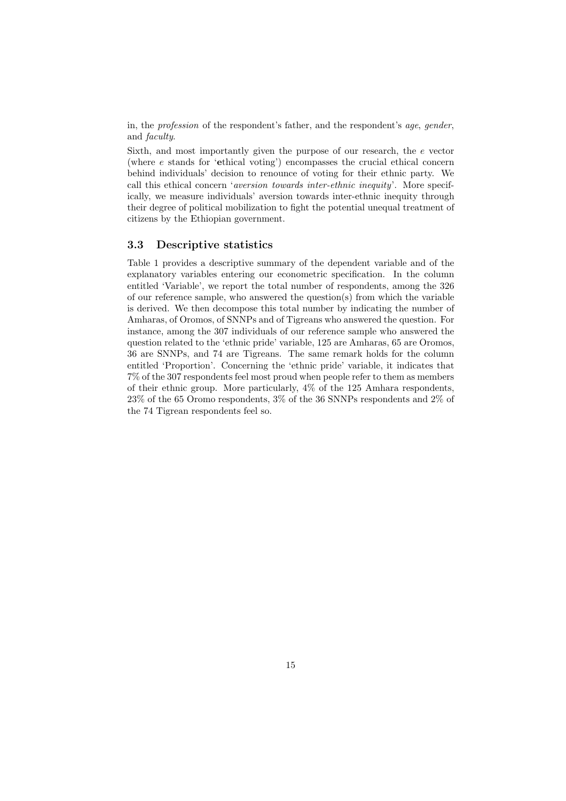in, the profession of the respondent's father, and the respondent's age, gender, and faculty.

Sixth, and most importantly given the purpose of our research, the e vector (where e stands for 'ethical voting') encompasses the crucial ethical concern behind individuals' decision to renounce of voting for their ethnic party. We call this ethical concern 'aversion towards inter-ethnic inequity'. More specifically, we measure individuals' aversion towards inter-ethnic inequity through their degree of political mobilization to fight the potential unequal treatment of citizens by the Ethiopian government.

#### 3.3 Descriptive statistics

Table 1 provides a descriptive summary of the dependent variable and of the explanatory variables entering our econometric specification. In the column entitled 'Variable', we report the total number of respondents, among the 326 of our reference sample, who answered the question(s) from which the variable is derived. We then decompose this total number by indicating the number of Amharas, of Oromos, of SNNPs and of Tigreans who answered the question. For instance, among the 307 individuals of our reference sample who answered the question related to the 'ethnic pride' variable, 125 are Amharas, 65 are Oromos, 36 are SNNPs, and 74 are Tigreans. The same remark holds for the column entitled 'Proportion'. Concerning the 'ethnic pride' variable, it indicates that 7% of the 307 respondents feel most proud when people refer to them as members of their ethnic group. More particularly, 4% of the 125 Amhara respondents, 23% of the 65 Oromo respondents, 3% of the 36 SNNPs respondents and 2% of the 74 Tigrean respondents feel so.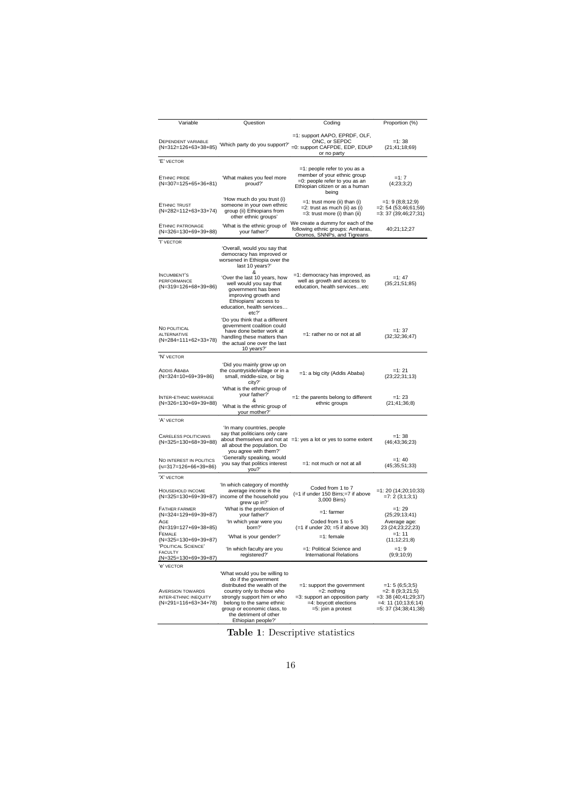| Variable                                                                               | Question                                                                                                                                                                                                                                                       | Coding                                                                                                                                   | Proportion (%)                                                                                             |
|----------------------------------------------------------------------------------------|----------------------------------------------------------------------------------------------------------------------------------------------------------------------------------------------------------------------------------------------------------------|------------------------------------------------------------------------------------------------------------------------------------------|------------------------------------------------------------------------------------------------------------|
| DEPENDENT VARIABLE<br>(N=312=126+63+38+85)                                             | 'Which party do you support?'                                                                                                                                                                                                                                  | =1: support AAPO, EPRDF, OLF,<br>ONC, or SEPDC<br>=0: support CAFPDE, EDP, EDUP<br>or no party                                           | $=1:38$<br>(21; 41; 18; 69)                                                                                |
| 'E' vector                                                                             |                                                                                                                                                                                                                                                                |                                                                                                                                          |                                                                                                            |
| <b>ETHNIC PRIDE</b><br>(N=307=125+65+36+81)                                            | 'What makes you feel more<br>proud?'                                                                                                                                                                                                                           | =1: people refer to you as a<br>member of your ethnic group<br>=0: people refer to you as an<br>Ethiopian citizen or as a human<br>being | $=1:7$<br>(4;23;3;2)                                                                                       |
| <b>ETHNIC TRUST</b><br>(N=282=112+63+33+74)                                            | 'How much do you trust (i)<br>someone in your own ethnic<br>group (ii) Ethiopians from<br>other ethnic groups'                                                                                                                                                 | $=1$ : trust more (ii) than (i)<br>=2: trust as much (ii) as (i)<br>$=3$ : trust more (i) than (ii)                                      | $=1:9(8;8;12;9)$<br>$=2:54(53;46;61;59)$<br>=3: 37 (39;46;27;31)                                           |
| <b>ETHNIC PATRONAGE</b><br>(N=326=130+69+39+88)                                        | 'What is the ethnic group of<br>your father?'                                                                                                                                                                                                                  | We create a dummy for each of the<br>following ethnic groups: Amharas,<br>Oromos, SNNPs, and Tigreans                                    | 40;21;12;27                                                                                                |
| 'l' vector                                                                             |                                                                                                                                                                                                                                                                |                                                                                                                                          |                                                                                                            |
| <b>INCUMBENT'S</b><br><b>PERFORMANCE</b><br>(N=319=126+68+39+86)                       | 'Overall, would you say that<br>democracy has improved or<br>worsened in Ethiopia over the<br>last 10 years?'<br>&<br>'Over the last 10 years, how<br>well would you say that<br>government has been<br>improving growth and<br>Ethiopians' access to          | =1: democracy has improved, as<br>well as growth and access to<br>education, health servicesetc                                          | $=1:47$<br>(35;21;51;85)                                                                                   |
| NO POLITICAL<br><b>ALTERNATIVE</b><br>(N=284=111+62+33+78)                             | education, health services<br>etc?'<br>'Do you think that a different<br>government coalition could<br>have done better work at<br>handling these matters than<br>the actual one over the last<br>10 years?'                                                   | =1: rather no or not at all                                                                                                              | $=1:37$<br>(32; 32; 36; 47)                                                                                |
| 'N' vector                                                                             |                                                                                                                                                                                                                                                                |                                                                                                                                          |                                                                                                            |
| <b>ADDIS ABABA</b><br>(N=324=10+69+39+86)                                              | 'Did you mainly grow up on<br>the countryside/village or in a<br>small, middle-size, or big<br>city?'                                                                                                                                                          | =1: a big city (Addis Ababa)                                                                                                             | $=1:21$<br>(23; 22; 31; 13)                                                                                |
| <b>INTER-ETHNIC MARRIAGE</b><br>(N=326=130+69+39+88)                                   | 'What is the ethnic group of<br>your father?'<br>&<br>'What is the ethnic group of                                                                                                                                                                             | $=1$ : the parents belong to different<br>ethnic groups                                                                                  | $=1:23$<br>(21; 41; 36; 8)                                                                                 |
| 'A' vector                                                                             | your mother?'                                                                                                                                                                                                                                                  |                                                                                                                                          |                                                                                                            |
| <b>CARELESS POLITICIANS</b><br>(N=325=130+68+39+88)                                    | 'In many countries, people<br>say that politicians only care<br>all about the population. Do<br>you agree with them?'                                                                                                                                          | about themselves and not at $=1$ : yes a lot or yes to some extent                                                                       | $=1:38$<br>(46;43;36;23)                                                                                   |
| NO INTEREST IN POLITICS<br>(N=317=126+66+39+86)                                        | 'Generally speaking, would<br>you say that politics interest<br>you?'                                                                                                                                                                                          | =1: not much or not at all                                                                                                               | $=1:40$<br>(45;35;51;33)                                                                                   |
| 'X' vector                                                                             |                                                                                                                                                                                                                                                                |                                                                                                                                          |                                                                                                            |
| <b>HOUSEHOLD INCOME</b>                                                                | 'In which category of monthly<br>average income is the<br>(N=325=130+69+39+87) income of the household you<br>grew up in?'                                                                                                                                     | Coded from 1 to 7<br>(=1 if under 150 Birrs;=7 if above<br>3,000 Birrs)                                                                  | $=1:20(14;20;10;33)$<br>$=7:2(3;1;3;1)$                                                                    |
| <b>FATHER FARMER</b><br>(N=324=129+69+39+87)                                           | 'What is the profession of<br>your father?'                                                                                                                                                                                                                    | =1: farmer                                                                                                                               | $=1:29$                                                                                                    |
| AGF<br>(N=319=127+69+38+85)                                                            | 'In which year were you<br>born?'                                                                                                                                                                                                                              | Coded from 1 to 5<br>$(=1$ if under 20; $=5$ if above 30)                                                                                | (25; 29; 13; 41)<br>Average age:<br>23 (24;23;22;23)                                                       |
| FEMALE<br>(N=325=130+69+39+87)                                                         | 'What is your gender?'                                                                                                                                                                                                                                         | $=1$ : female                                                                                                                            | $=1:11$<br>(11; 12; 21; 8)                                                                                 |
| 'POLITICAL SCIENCE'<br><b>FACULTY</b><br>(N=325=130+69+39+87)                          | 'In which faculty are you<br>registered?'                                                                                                                                                                                                                      | $=1$ : Political Science and<br><b>International Relations</b>                                                                           | $=1:9$<br>(9;9;10;9)                                                                                       |
| 'e' VECTOR<br><b>AVERSION TOWARDS</b><br>INTER-ETHNIC INEQUITY<br>(N=291=116+63+34+78) | 'What would you be willing to<br>do if the government<br>distributed the wealth of the<br>country only to those who<br>strongly support him or who<br>belong to the same ethnic<br>group or economic class, to<br>the detriment of other<br>Ethiopian people?' | =1: support the government<br>$=2$ : nothing<br>=3: support an opposition party<br>=4: bovcott elections<br>=5: join a protest           | $=1:5(6;5;3;5)$<br>$=2:8(9;3;21;5)$<br>$=3:38(40;41;29;37)$<br>=4: 11 (10;13;6;14)<br>$=5:37(34;38;41;38)$ |

Table 1: Descriptive statistics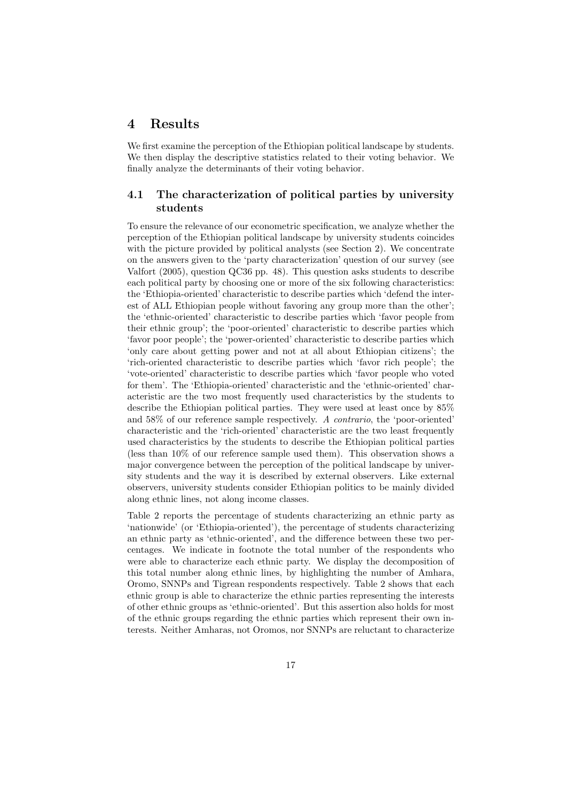## 4 Results

We first examine the perception of the Ethiopian political landscape by students. We then display the descriptive statistics related to their voting behavior. We finally analyze the determinants of their voting behavior.

### 4.1 The characterization of political parties by university students

To ensure the relevance of our econometric specification, we analyze whether the perception of the Ethiopian political landscape by university students coincides with the picture provided by political analysts (see Section 2). We concentrate on the answers given to the 'party characterization' question of our survey (see Valfort (2005), question QC36 pp. 48). This question asks students to describe each political party by choosing one or more of the six following characteristics: the 'Ethiopia-oriented' characteristic to describe parties which 'defend the interest of ALL Ethiopian people without favoring any group more than the other'; the 'ethnic-oriented' characteristic to describe parties which 'favor people from their ethnic group'; the 'poor-oriented' characteristic to describe parties which 'favor poor people'; the 'power-oriented' characteristic to describe parties which 'only care about getting power and not at all about Ethiopian citizens'; the 'rich-oriented characteristic to describe parties which 'favor rich people'; the 'vote-oriented' characteristic to describe parties which 'favor people who voted for them'. The 'Ethiopia-oriented' characteristic and the 'ethnic-oriented' characteristic are the two most frequently used characteristics by the students to describe the Ethiopian political parties. They were used at least once by 85% and 58% of our reference sample respectively. A contrario, the 'poor-oriented' characteristic and the 'rich-oriented' characteristic are the two least frequently used characteristics by the students to describe the Ethiopian political parties (less than 10% of our reference sample used them). This observation shows a major convergence between the perception of the political landscape by university students and the way it is described by external observers. Like external observers, university students consider Ethiopian politics to be mainly divided along ethnic lines, not along income classes.

Table 2 reports the percentage of students characterizing an ethnic party as 'nationwide' (or 'Ethiopia-oriented'), the percentage of students characterizing an ethnic party as 'ethnic-oriented', and the difference between these two percentages. We indicate in footnote the total number of the respondents who were able to characterize each ethnic party. We display the decomposition of this total number along ethnic lines, by highlighting the number of Amhara, Oromo, SNNPs and Tigrean respondents respectively. Table 2 shows that each ethnic group is able to characterize the ethnic parties representing the interests of other ethnic groups as 'ethnic-oriented'. But this assertion also holds for most of the ethnic groups regarding the ethnic parties which represent their own interests. Neither Amharas, not Oromos, nor SNNPs are reluctant to characterize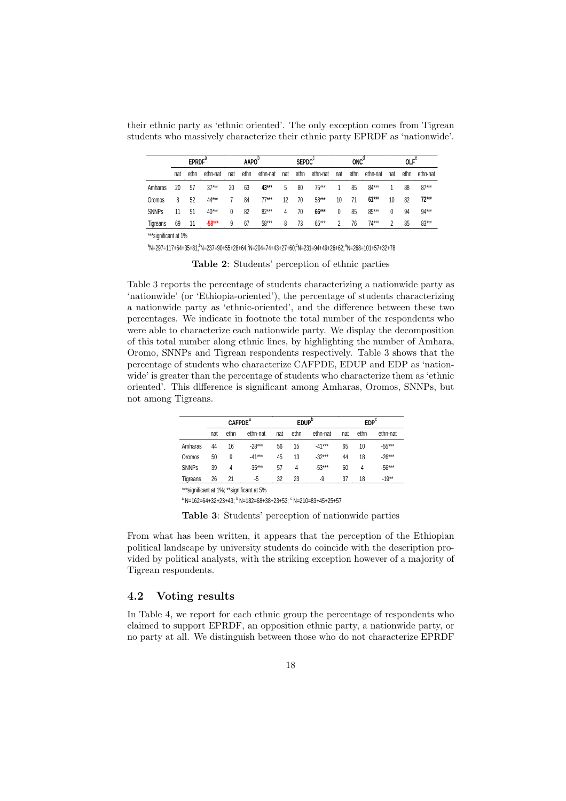their ethnic party as 'ethnic oriented'. The only exception comes from Tigrean students who massively characterize their ethnic party EPRDF as 'nationwide'.

|              | EPRDF <sup>®</sup> |      | AAPO <sup>'</sup> |     | <b>SEPDC</b> |          | ONC |      | $OLF^{\sigma}$ |     |      |          |     |      |          |
|--------------|--------------------|------|-------------------|-----|--------------|----------|-----|------|----------------|-----|------|----------|-----|------|----------|
|              | nat                | ethn | ethn-nat          | nat | ethn         | ethn-nat | nat | ethn | ethn-nat       | nat | ethn | ethn-nat | nat | ethn | ethn-nat |
| Amharas      | 20                 | 57   | $37***$           | 20  | 63           | 43***    | 5   | 80   | $75***$        |     | 85   | $84***$  |     | 88   | $87***$  |
| Oromos       | 8                  | 52   | 44***             |     | 84           | $77***$  | 12  | 70   | $58***$        | 10  | 71   | $61***$  | 10  | 82   | $72***$  |
| <b>SNNPs</b> | 11                 | 51   | $40***$           | 0   | 82           | $82***$  | 4   | 70   | 66***          | 0   | 85   | $85***$  | 0   | 94   | 94***    |
| Tigreans     | 69                 | 11   | $-58***$          | 9   | 67           | $58***$  | 8   | 73   | $65***$        |     | 76   | $74***$  |     | 85   | $83***$  |

\*\*\*significant at 1%

 $a^2N=297=117+64+35+81; ^bN=237=90+55+28+64; ^cN=204=74+43+27+60; ^dN=231=94+49+26+62; ^eN=268=101+57+32+78$ 

Table 2: Students' perception of ethnic parties

Table 3 reports the percentage of students characterizing a nationwide party as 'nationwide' (or 'Ethiopia-oriented'), the percentage of students characterizing a nationwide party as 'ethnic-oriented', and the difference between these two percentages. We indicate in footnote the total number of the respondents who were able to characterize each nationwide party. We display the decomposition of this total number along ethnic lines, by highlighting the number of Amhara, Oromo, SNNPs and Tigrean respondents respectively. Table 3 shows that the percentage of students who characterize CAFPDE, EDUP and EDP as 'nationwide' is greater than the percentage of students who characterize them as 'ethnic oriented'. This difference is significant among Amharas, Oromos, SNNPs, but not among Tigreans.

|                     | <b>CAFPDE</b> <sup>a</sup> |          |          |     | EDUP" |          |     | $EDP^{\circ}$ |          |  |
|---------------------|----------------------------|----------|----------|-----|-------|----------|-----|---------------|----------|--|
|                     | nat                        | ethn     | ethn-nat | nat | ethn  | ethn-nat | nat | ethn          | ethn-nat |  |
| Amharas             | 44                         | 16       | $-28***$ | 56  | 15    | $-41***$ | 65  | 10            | $-55***$ |  |
| Oromos              | 50                         | 9        | $-41***$ | 45  | 13    | $-32***$ | 44  | 18            | $-26***$ |  |
| <b>SNNPs</b>        | 39                         | 4        | $-35***$ | 57  | 4     | $-53***$ | 60  | 4             | $-56***$ |  |
| Tigreans            | 26                         | 21       | -5       | 32  | 23    | -9       | 37  | 18            | $-19**$  |  |
| 4.4.4.1<br>$\cdots$ | .                          | $\cdots$ | .        |     |       |          |     |               |          |  |

\*\*\*significant at 1%; \*\*significant at 5%

a N=162=64+32+23+43; b N=182=68+38+23+53; b N=210=83+45+25+57

Table 3: Students' perception of nationwide parties

From what has been written, it appears that the perception of the Ethiopian political landscape by university students do coincide with the description provided by political analysts, with the striking exception however of a majority of Tigrean respondents.

#### 4.2 Voting results

In Table 4, we report for each ethnic group the percentage of respondents who claimed to support EPRDF, an opposition ethnic party, a nationwide party, or no party at all. We distinguish between those who do not characterize EPRDF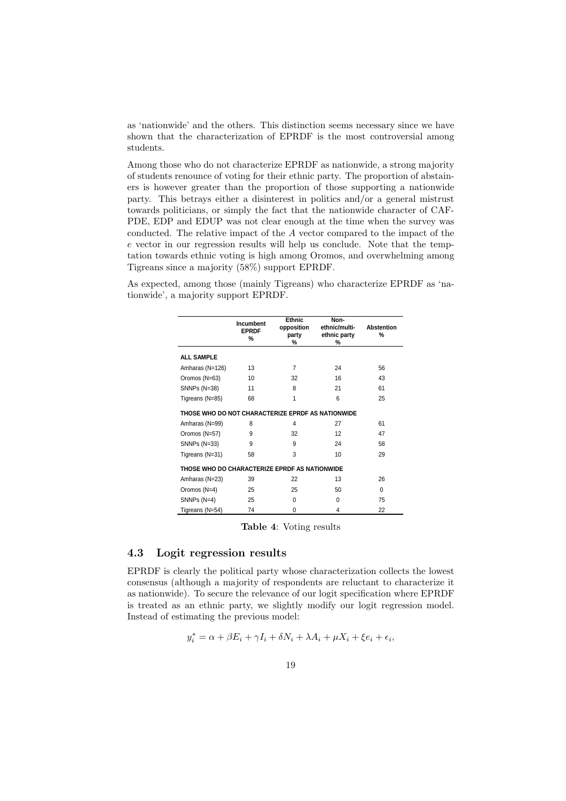as 'nationwide' and the others. This distinction seems necessary since we have shown that the characterization of EPRDF is the most controversial among students.

Among those who do not characterize EPRDF as nationwide, a strong majority of students renounce of voting for their ethnic party. The proportion of abstainers is however greater than the proportion of those supporting a nationwide party. This betrays either a disinterest in politics and/or a general mistrust towards politicians, or simply the fact that the nationwide character of CAF-PDE, EDP and EDUP was not clear enough at the time when the survey was conducted. The relative impact of the A vector compared to the impact of the e vector in our regression results will help us conclude. Note that the temptation towards ethnic voting is high among Oromos, and overwhelming among Tigreans since a majority (58%) support EPRDF.

As expected, among those (mainly Tigreans) who characterize EPRDF as 'nationwide', a majority support EPRDF.

|                                                   | Incumbent<br><b>EPRDF</b><br>% | Ethnic<br>opposition<br>party<br>% | Non-<br>ethnic/multi-<br>ethnic party<br>% | <b>Abstention</b><br>% |  |  |  |  |
|---------------------------------------------------|--------------------------------|------------------------------------|--------------------------------------------|------------------------|--|--|--|--|
| <b>ALL SAMPLE</b>                                 |                                |                                    |                                            |                        |  |  |  |  |
| Amharas (N=126)                                   | 13                             | 7                                  | 24                                         | 56                     |  |  |  |  |
| Oromos (N=63)                                     | 10                             | 32                                 | 16                                         | 43                     |  |  |  |  |
| SNNPs (N=38)                                      | 11                             | 8                                  | 21                                         | 61                     |  |  |  |  |
| Tigreans (N=85)                                   | 68                             | 1                                  | 6                                          | 25                     |  |  |  |  |
| THOSE WHO DO NOT CHARACTERIZE EPRDF AS NATIONWIDE |                                |                                    |                                            |                        |  |  |  |  |
| Amharas (N=99)                                    | 8                              | 4                                  | 27                                         | 61                     |  |  |  |  |
| Oromos (N=57)                                     | 9                              | 32                                 | 12                                         | 47                     |  |  |  |  |
| SNNPs (N=33)                                      | 9                              | 9                                  | 24                                         | 58                     |  |  |  |  |
| Tigreans (N=31)                                   | 58                             | 3                                  | 10                                         | 29                     |  |  |  |  |
| THOSE WHO DO CHARACTERIZE EPRDF AS NATIONWIDE     |                                |                                    |                                            |                        |  |  |  |  |
| Amharas (N=23)                                    | 39                             | 22                                 | 13                                         | 26                     |  |  |  |  |
| Oromos (N=4)                                      | 25                             | 25                                 | 50                                         | 0                      |  |  |  |  |
| SNNPs (N=4)                                       | 25                             | $\Omega$                           | $\Omega$                                   | 75                     |  |  |  |  |
| Tigreans (N=54)                                   | 74                             | $\Omega$                           | 4                                          | 22                     |  |  |  |  |

Table 4: Voting results

#### 4.3 Logit regression results

EPRDF is clearly the political party whose characterization collects the lowest consensus (although a majority of respondents are reluctant to characterize it as nationwide). To secure the relevance of our logit specification where EPRDF is treated as an ethnic party, we slightly modify our logit regression model. Instead of estimating the previous model:

$$
y_i^* = \alpha + \beta E_i + \gamma I_i + \delta N_i + \lambda A_i + \mu X_i + \xi e_i + \epsilon_i,
$$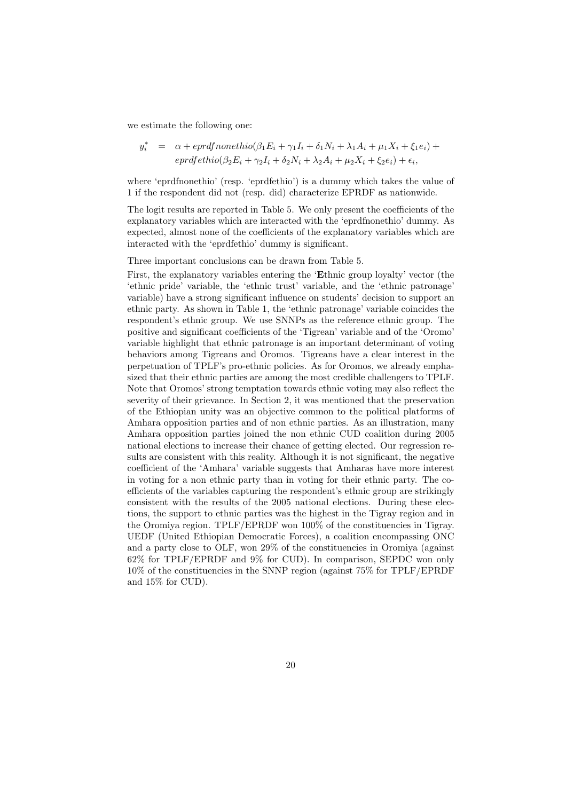we estimate the following one:

$$
y_i^* = \alpha + \text{eprdf} \text{nonethio}(\beta_1 E_i + \gamma_1 I_i + \delta_1 N_i + \lambda_1 A_i + \mu_1 X_i + \xi_1 e_i) +
$$
  
\n
$$
\text{eprdfethio}(\beta_2 E_i + \gamma_2 I_i + \delta_2 N_i + \lambda_2 A_i + \mu_2 X_i + \xi_2 e_i) + \epsilon_i,
$$

where 'eprdfnonethio' (resp. 'eprdfethio') is a dummy which takes the value of 1 if the respondent did not (resp. did) characterize EPRDF as nationwide.

The logit results are reported in Table 5. We only present the coefficients of the explanatory variables which are interacted with the 'eprdfnonethio' dummy. As expected, almost none of the coefficients of the explanatory variables which are interacted with the 'eprdfethio' dummy is significant.

Three important conclusions can be drawn from Table 5.

First, the explanatory variables entering the 'Ethnic group loyalty' vector (the 'ethnic pride' variable, the 'ethnic trust' variable, and the 'ethnic patronage' variable) have a strong significant influence on students' decision to support an ethnic party. As shown in Table 1, the 'ethnic patronage' variable coincides the respondent's ethnic group. We use SNNPs as the reference ethnic group. The positive and significant coefficients of the 'Tigrean' variable and of the 'Oromo' variable highlight that ethnic patronage is an important determinant of voting behaviors among Tigreans and Oromos. Tigreans have a clear interest in the perpetuation of TPLF's pro-ethnic policies. As for Oromos, we already emphasized that their ethnic parties are among the most credible challengers to TPLF. Note that Oromos' strong temptation towards ethnic voting may also reflect the severity of their grievance. In Section 2, it was mentioned that the preservation of the Ethiopian unity was an objective common to the political platforms of Amhara opposition parties and of non ethnic parties. As an illustration, many Amhara opposition parties joined the non ethnic CUD coalition during 2005 national elections to increase their chance of getting elected. Our regression results are consistent with this reality. Although it is not significant, the negative coefficient of the 'Amhara' variable suggests that Amharas have more interest in voting for a non ethnic party than in voting for their ethnic party. The coefficients of the variables capturing the respondent's ethnic group are strikingly consistent with the results of the 2005 national elections. During these elections, the support to ethnic parties was the highest in the Tigray region and in the Oromiya region. TPLF/EPRDF won 100% of the constituencies in Tigray. UEDF (United Ethiopian Democratic Forces), a coalition encompassing ONC and a party close to OLF, won 29% of the constituencies in Oromiya (against 62% for TPLF/EPRDF and 9% for CUD). In comparison, SEPDC won only 10% of the constituencies in the SNNP region (against 75% for TPLF/EPRDF and 15% for CUD).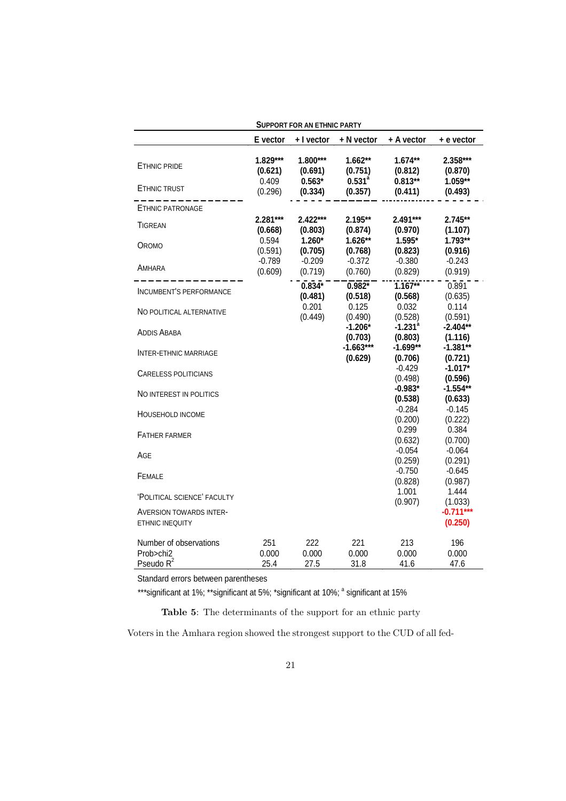|                                                     |                                         | <b>SUPPORT FOR AN ETHNIC PARTY</b>         |                                              |                                            |                                           |
|-----------------------------------------------------|-----------------------------------------|--------------------------------------------|----------------------------------------------|--------------------------------------------|-------------------------------------------|
|                                                     | E vector                                | + I vector                                 | + N vector                                   | + A vector                                 | + e vector                                |
| <b>ETHNIC PRIDE</b><br>ETHNIC TRUST                 | 1.829***<br>(0.621)<br>0.409<br>(0.296) | 1.800***<br>(0.691)<br>$0.563*$<br>(0.334) | 1.662**<br>(0.751)<br>$0.531^{a}$<br>(0.357) | 1.674**<br>(0.812)<br>$0.813**$<br>(0.411) | 2.358***<br>(0.870)<br>1.059**<br>(0.493) |
| <b>ETHNIC PATRONAGE</b>                             |                                         |                                            |                                              |                                            |                                           |
| <b>TIGREAN</b>                                      | 2.281***<br>(0.668)                     | $2.422***$<br>(0.803)                      | $2.195**$<br>(0.874)                         | $2.491***$<br>(0.970)                      | $2.745**$<br>(1.107)                      |
| OROMO                                               | 0.594<br>(0.591)                        | $1.260*$<br>(0.705)                        | 1.626**<br>(0.768)                           | $1.595*$<br>(0.823)                        | 1.793**<br>(0.916)                        |
| AMHARA                                              | $-0.789$<br>(0.609)                     | $-0.209$<br>(0.719)                        | $-0.372$<br>(0.760)                          | $-0.380$<br>(0.829)                        | $-0.243$<br>(0.919)                       |
| <b>INCUMBENT'S PERFORMANCE</b>                      |                                         | $0.834*$<br>(0.481)                        | $0.982*$<br>(0.518)                          | $1.167**$<br>(0.568)                       | 0.891<br>(0.635)                          |
| NO POLITICAL ALTERNATIVE                            |                                         | 0.201<br>(0.449)                           | 0.125<br>(0.490)                             | 0.032<br>(0.528)                           | 0.114<br>(0.591)                          |
| <b>ADDIS ABABA</b>                                  |                                         |                                            | $-1.206*$<br>(0.703)                         | $-1.231$ <sup>a</sup><br>(0.803)           | $-2.404**$<br>(1.116)                     |
| <b>INTER-ETHNIC MARRIAGE</b>                        |                                         |                                            | $-1.663***$<br>(0.629)                       | $-1.699**$<br>(0.706)                      | $-1.381**$<br>(0.721)                     |
| CARELESS POLITICIANS                                |                                         |                                            |                                              | $-0.429$<br>(0.498)                        | $-1.017*$<br>(0.596)                      |
| NO INTEREST IN POLITICS                             |                                         |                                            |                                              | $-0.983*$<br>(0.538)                       | $-1.554**$<br>(0.633)                     |
| <b>HOUSEHOLD INCOME</b>                             |                                         |                                            |                                              | $-0.284$<br>(0.200)                        | $-0.145$<br>(0.222)                       |
| <b>FATHER FARMER</b>                                |                                         |                                            |                                              | 0.299<br>(0.632)                           | 0.384<br>(0.700)                          |
| AGE                                                 |                                         |                                            |                                              | $-0.054$<br>(0.259)                        | $-0.064$<br>(0.291)                       |
| FEMALE                                              |                                         |                                            |                                              | $-0.750$<br>(0.828)                        | $-0.645$<br>(0.987)                       |
| 'POLITICAL SCIENCE' FACULTY                         |                                         |                                            |                                              | 1.001<br>(0.907)                           | 1.444<br>(1.033)                          |
| AVERSION TOWARDS INTER-<br><b>ETHNIC INEQUITY</b>   |                                         |                                            |                                              |                                            | $-0.711***$<br>(0.250)                    |
| Number of observations<br>Prob>chi2<br>Pseudo $R^2$ | 251<br>0.000<br>25.4                    | 222<br>0.000<br>27.5                       | 221<br>0.000<br>31.8                         | 213<br>0.000<br>41.6                       | 196<br>0.000<br>47.6                      |

**SUPPORT FOR AN ETHNIC PARTY**

Standard errors between parentheses

\*\*\*significant at 1%; \*\*significant at 5%; \*significant at 10%; <sup>a</sup> significant at 15%

Table 5: The determinants of the support for an ethnic party

Voters in the Amhara region showed the strongest support to the CUD of all fed-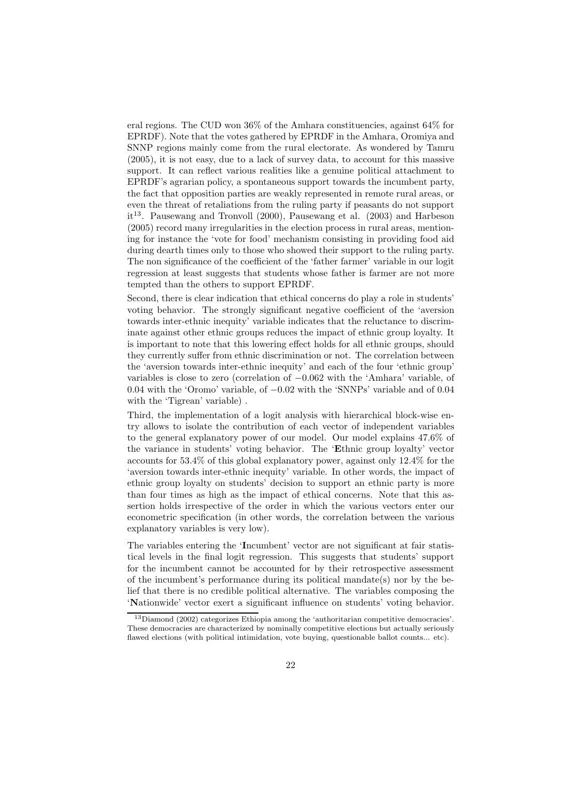eral regions. The CUD won 36% of the Amhara constituencies, against 64% for EPRDF). Note that the votes gathered by EPRDF in the Amhara, Oromiya and SNNP regions mainly come from the rural electorate. As wondered by Tamru (2005), it is not easy, due to a lack of survey data, to account for this massive support. It can reflect various realities like a genuine political attachment to EPRDF's agrarian policy, a spontaneous support towards the incumbent party, the fact that opposition parties are weakly represented in remote rural areas, or even the threat of retaliations from the ruling party if peasants do not support it<sup>13</sup>. Pausewang and Tronvoll (2000), Pausewang et al. (2003) and Harbeson (2005) record many irregularities in the election process in rural areas, mentioning for instance the 'vote for food' mechanism consisting in providing food aid during dearth times only to those who showed their support to the ruling party. The non significance of the coefficient of the 'father farmer' variable in our logit regression at least suggests that students whose father is farmer are not more tempted than the others to support EPRDF.

Second, there is clear indication that ethical concerns do play a role in students' voting behavior. The strongly significant negative coefficient of the 'aversion towards inter-ethnic inequity' variable indicates that the reluctance to discriminate against other ethnic groups reduces the impact of ethnic group loyalty. It is important to note that this lowering effect holds for all ethnic groups, should they currently suffer from ethnic discrimination or not. The correlation between the 'aversion towards inter-ethnic inequity' and each of the four 'ethnic group' variables is close to zero (correlation of −0.062 with the 'Amhara' variable, of 0.04 with the 'Oromo' variable, of −0.02 with the 'SNNPs' variable and of 0.04 with the 'Tigrean' variable).

Third, the implementation of a logit analysis with hierarchical block-wise entry allows to isolate the contribution of each vector of independent variables to the general explanatory power of our model. Our model explains 47.6% of the variance in students' voting behavior. The 'Ethnic group loyalty' vector accounts for 53.4% of this global explanatory power, against only 12.4% for the 'aversion towards inter-ethnic inequity' variable. In other words, the impact of ethnic group loyalty on students' decision to support an ethnic party is more than four times as high as the impact of ethical concerns. Note that this assertion holds irrespective of the order in which the various vectors enter our econometric specification (in other words, the correlation between the various explanatory variables is very low).

The variables entering the 'Incumbent' vector are not significant at fair statistical levels in the final logit regression. This suggests that students' support for the incumbent cannot be accounted for by their retrospective assessment of the incumbent's performance during its political mandate(s) nor by the belief that there is no credible political alternative. The variables composing the 'Nationwide' vector exert a significant influence on students' voting behavior.

<sup>&</sup>lt;sup>13</sup>Diamond (2002) categorizes Ethiopia among the 'authoritarian competitive democracies'. These democracies are characterized by nominally competitive elections but actually seriously flawed elections (with political intimidation, vote buying, questionable ballot counts... etc).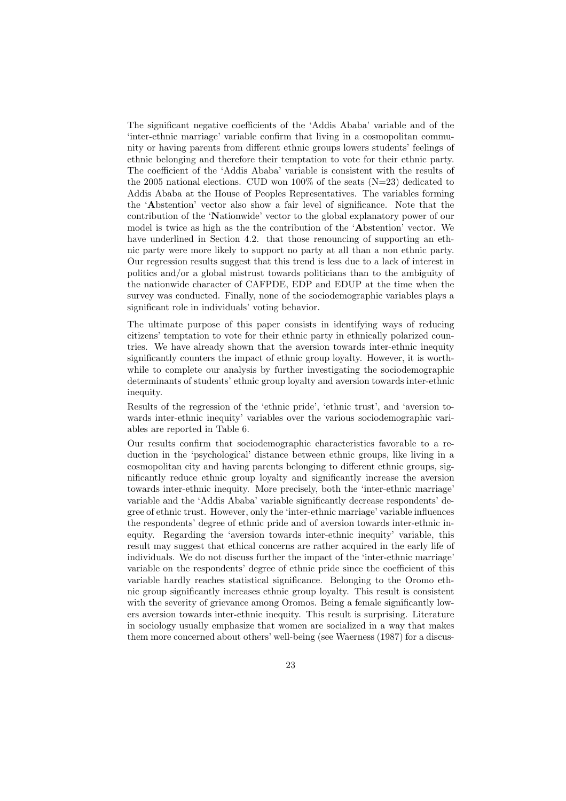The significant negative coefficients of the 'Addis Ababa' variable and of the 'inter-ethnic marriage' variable confirm that living in a cosmopolitan community or having parents from different ethnic groups lowers students' feelings of ethnic belonging and therefore their temptation to vote for their ethnic party. The coefficient of the 'Addis Ababa' variable is consistent with the results of the 2005 national elections. CUD won  $100\%$  of the seats (N=23) dedicated to Addis Ababa at the House of Peoples Representatives. The variables forming the 'Abstention' vector also show a fair level of significance. Note that the contribution of the 'Nationwide' vector to the global explanatory power of our model is twice as high as the the contribution of the 'Abstention' vector. We have underlined in Section 4.2. that those renouncing of supporting an ethnic party were more likely to support no party at all than a non ethnic party. Our regression results suggest that this trend is less due to a lack of interest in politics and/or a global mistrust towards politicians than to the ambiguity of the nationwide character of CAFPDE, EDP and EDUP at the time when the survey was conducted. Finally, none of the sociodemographic variables plays a significant role in individuals' voting behavior.

The ultimate purpose of this paper consists in identifying ways of reducing citizens' temptation to vote for their ethnic party in ethnically polarized countries. We have already shown that the aversion towards inter-ethnic inequity significantly counters the impact of ethnic group loyalty. However, it is worthwhile to complete our analysis by further investigating the sociodemographic determinants of students' ethnic group loyalty and aversion towards inter-ethnic inequity.

Results of the regression of the 'ethnic pride', 'ethnic trust', and 'aversion towards inter-ethnic inequity' variables over the various sociodemographic variables are reported in Table 6.

Our results confirm that sociodemographic characteristics favorable to a reduction in the 'psychological' distance between ethnic groups, like living in a cosmopolitan city and having parents belonging to different ethnic groups, significantly reduce ethnic group loyalty and significantly increase the aversion towards inter-ethnic inequity. More precisely, both the 'inter-ethnic marriage' variable and the 'Addis Ababa' variable significantly decrease respondents' degree of ethnic trust. However, only the 'inter-ethnic marriage' variable influences the respondents' degree of ethnic pride and of aversion towards inter-ethnic inequity. Regarding the 'aversion towards inter-ethnic inequity' variable, this result may suggest that ethical concerns are rather acquired in the early life of individuals. We do not discuss further the impact of the 'inter-ethnic marriage' variable on the respondents' degree of ethnic pride since the coefficient of this variable hardly reaches statistical significance. Belonging to the Oromo ethnic group significantly increases ethnic group loyalty. This result is consistent with the severity of grievance among Oromos. Being a female significantly lowers aversion towards inter-ethnic inequity. This result is surprising. Literature in sociology usually emphasize that women are socialized in a way that makes them more concerned about others' well-being (see Waerness (1987) for a discus-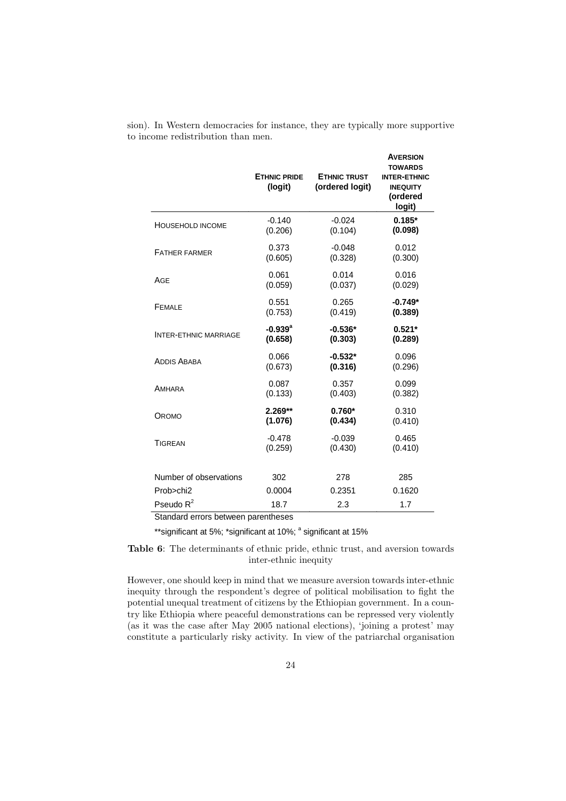|                              | <b>ETHNIC PRIDE</b><br>(logit) | <b>ETHNIC TRUST</b><br>(ordered logit) | <b>AVERSION</b><br><b>TOWARDS</b><br><b>INTER-ETHNIC</b><br><b>INEQUITY</b><br>(ordered<br>logit) |
|------------------------------|--------------------------------|----------------------------------------|---------------------------------------------------------------------------------------------------|
| <b>HOUSEHOLD INCOME</b>      | $-0.140$                       | $-0.024$                               | $0.185*$                                                                                          |
|                              | (0.206)                        | (0.104)                                | (0.098)                                                                                           |
| <b>FATHER FARMER</b>         | 0.373                          | $-0.048$                               | 0.012                                                                                             |
|                              | (0.605)                        | (0.328)                                | (0.300)                                                                                           |
| AGE                          | 0.061                          | 0.014                                  | 0.016                                                                                             |
|                              | (0.059)                        | (0.037)                                | (0.029)                                                                                           |
| <b>FEMALE</b>                | 0.551                          | 0.265                                  | $-0.749*$                                                                                         |
|                              | (0.753)                        | (0.419)                                | (0.389)                                                                                           |
| <b>INTER-ETHNIC MARRIAGE</b> | $-0.939$ <sup>a</sup>          | $-0.536*$                              | $0.521*$                                                                                          |
|                              | (0.658)                        | (0.303)                                | (0.289)                                                                                           |
| <b>ADDIS ABABA</b>           | 0.066                          | $-0.532*$                              | 0.096                                                                                             |
|                              | (0.673)                        | (0.316)                                | (0.296)                                                                                           |
| <b>AMHARA</b>                | 0.087                          | 0.357                                  | 0.099                                                                                             |
|                              | (0.133)                        | (0.403)                                | (0.382)                                                                                           |
| <b>OROMO</b>                 | $2.269**$                      | $0.760*$                               | 0.310                                                                                             |
|                              | (1.076)                        | (0.434)                                | (0.410)                                                                                           |
| TIGREAN                      | $-0.478$                       | $-0.039$                               | 0.465                                                                                             |
|                              | (0.259)                        | (0.430)                                | (0.410)                                                                                           |
| Number of observations       | 302                            | 278                                    | 285                                                                                               |
| Prob>chi2                    | 0.0004                         | 0.2351                                 | 0.1620                                                                                            |
| Pseudo $R^2$                 | 18.7                           | 2.3                                    | 1.7                                                                                               |

sion). In Western democracies for instance, they are typically more supportive to income redistribution than men.

Standard errors between parentheses

\*\*significant at 5%; \*significant at 10%; <sup>a</sup> significant at 15%

Table 6: The determinants of ethnic pride, ethnic trust, and aversion towards inter-ethnic inequity

However, one should keep in mind that we measure aversion towards inter-ethnic inequity through the respondent's degree of political mobilisation to fight the potential unequal treatment of citizens by the Ethiopian government. In a country like Ethiopia where peaceful demonstrations can be repressed very violently (as it was the case after May 2005 national elections), 'joining a protest' may constitute a particularly risky activity. In view of the patriarchal organisation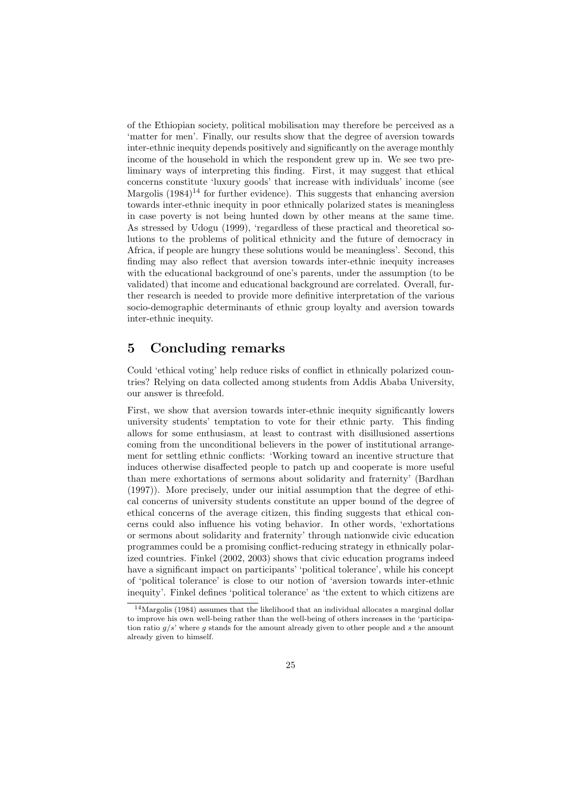of the Ethiopian society, political mobilisation may therefore be perceived as a 'matter for men'. Finally, our results show that the degree of aversion towards inter-ethnic inequity depends positively and significantly on the average monthly income of the household in which the respondent grew up in. We see two preliminary ways of interpreting this finding. First, it may suggest that ethical concerns constitute 'luxury goods' that increase with individuals' income (see Margolis  $(1984)^{14}$  for further evidence). This suggests that enhancing aversion towards inter-ethnic inequity in poor ethnically polarized states is meaningless in case poverty is not being hunted down by other means at the same time. As stressed by Udogu (1999), 'regardless of these practical and theoretical solutions to the problems of political ethnicity and the future of democracy in Africa, if people are hungry these solutions would be meaningless'. Second, this finding may also reflect that aversion towards inter-ethnic inequity increases with the educational background of one's parents, under the assumption (to be validated) that income and educational background are correlated. Overall, further research is needed to provide more definitive interpretation of the various socio-demographic determinants of ethnic group loyalty and aversion towards inter-ethnic inequity.

## 5 Concluding remarks

Could 'ethical voting' help reduce risks of conflict in ethnically polarized countries? Relying on data collected among students from Addis Ababa University, our answer is threefold.

First, we show that aversion towards inter-ethnic inequity significantly lowers university students' temptation to vote for their ethnic party. This finding allows for some enthusiasm, at least to contrast with disillusioned assertions coming from the unconditional believers in the power of institutional arrangement for settling ethnic conflicts: 'Working toward an incentive structure that induces otherwise disaffected people to patch up and cooperate is more useful than mere exhortations of sermons about solidarity and fraternity' (Bardhan (1997)). More precisely, under our initial assumption that the degree of ethical concerns of university students constitute an upper bound of the degree of ethical concerns of the average citizen, this finding suggests that ethical concerns could also influence his voting behavior. In other words, 'exhortations or sermons about solidarity and fraternity' through nationwide civic education programmes could be a promising conflict-reducing strategy in ethnically polarized countries. Finkel (2002, 2003) shows that civic education programs indeed have a significant impact on participants' 'political tolerance', while his concept of 'political tolerance' is close to our notion of 'aversion towards inter-ethnic inequity'. Finkel defines 'political tolerance' as 'the extent to which citizens are

<sup>14</sup>Margolis (1984) assumes that the likelihood that an individual allocates a marginal dollar to improve his own well-being rather than the well-being of others increases in the 'participation ratio  $g/s'$  where g stands for the amount already given to other people and s the amount already given to himself.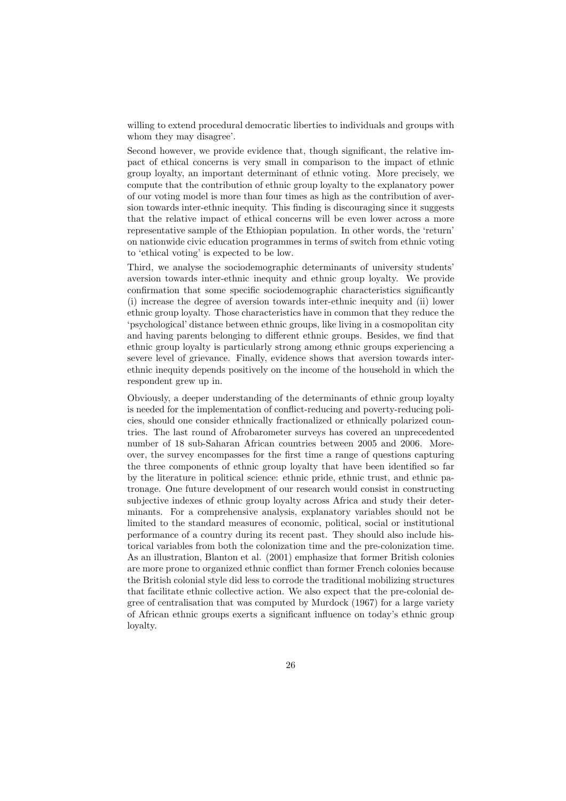willing to extend procedural democratic liberties to individuals and groups with whom they may disagree'.

Second however, we provide evidence that, though significant, the relative impact of ethical concerns is very small in comparison to the impact of ethnic group loyalty, an important determinant of ethnic voting. More precisely, we compute that the contribution of ethnic group loyalty to the explanatory power of our voting model is more than four times as high as the contribution of aversion towards inter-ethnic inequity. This finding is discouraging since it suggests that the relative impact of ethical concerns will be even lower across a more representative sample of the Ethiopian population. In other words, the 'return' on nationwide civic education programmes in terms of switch from ethnic voting to 'ethical voting' is expected to be low.

Third, we analyse the sociodemographic determinants of university students' aversion towards inter-ethnic inequity and ethnic group loyalty. We provide confirmation that some specific sociodemographic characteristics significantly (i) increase the degree of aversion towards inter-ethnic inequity and (ii) lower ethnic group loyalty. Those characteristics have in common that they reduce the 'psychological' distance between ethnic groups, like living in a cosmopolitan city and having parents belonging to different ethnic groups. Besides, we find that ethnic group loyalty is particularly strong among ethnic groups experiencing a severe level of grievance. Finally, evidence shows that aversion towards interethnic inequity depends positively on the income of the household in which the respondent grew up in.

Obviously, a deeper understanding of the determinants of ethnic group loyalty is needed for the implementation of conflict-reducing and poverty-reducing policies, should one consider ethnically fractionalized or ethnically polarized countries. The last round of Afrobarometer surveys has covered an unprecedented number of 18 sub-Saharan African countries between 2005 and 2006. Moreover, the survey encompasses for the first time a range of questions capturing the three components of ethnic group loyalty that have been identified so far by the literature in political science: ethnic pride, ethnic trust, and ethnic patronage. One future development of our research would consist in constructing subjective indexes of ethnic group loyalty across Africa and study their determinants. For a comprehensive analysis, explanatory variables should not be limited to the standard measures of economic, political, social or institutional performance of a country during its recent past. They should also include historical variables from both the colonization time and the pre-colonization time. As an illustration, Blanton et al. (2001) emphasize that former British colonies are more prone to organized ethnic conflict than former French colonies because the British colonial style did less to corrode the traditional mobilizing structures that facilitate ethnic collective action. We also expect that the pre-colonial degree of centralisation that was computed by Murdock (1967) for a large variety of African ethnic groups exerts a significant influence on today's ethnic group loyalty.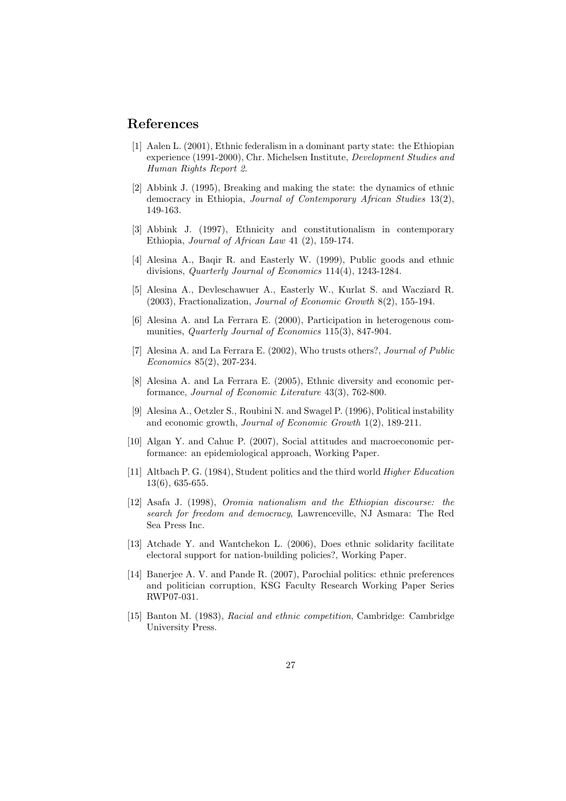## References

- [1] Aalen L. (2001), Ethnic federalism in a dominant party state: the Ethiopian experience (1991-2000), Chr. Michelsen Institute, Development Studies and Human Rights Report 2.
- [2] Abbink J. (1995), Breaking and making the state: the dynamics of ethnic democracy in Ethiopia, Journal of Contemporary African Studies 13(2), 149-163.
- [3] Abbink J. (1997), Ethnicity and constitutionalism in contemporary Ethiopia, Journal of African Law 41 (2), 159-174.
- [4] Alesina A., Baqir R. and Easterly W. (1999), Public goods and ethnic divisions, Quarterly Journal of Economics 114(4), 1243-1284.
- [5] Alesina A., Devleschawuer A., Easterly W., Kurlat S. and Wacziard R. (2003), Fractionalization, Journal of Economic Growth 8(2), 155-194.
- [6] Alesina A. and La Ferrara E. (2000), Participation in heterogenous communities, Quarterly Journal of Economics 115(3), 847-904.
- [7] Alesina A. and La Ferrara E. (2002), Who trusts others?, Journal of Public Economics 85(2), 207-234.
- [8] Alesina A. and La Ferrara E. (2005), Ethnic diversity and economic performance, Journal of Economic Literature 43(3), 762-800.
- [9] Alesina A., Oetzler S., Roubini N. and Swagel P. (1996), Political instability and economic growth, Journal of Economic Growth 1(2), 189-211.
- [10] Algan Y. and Cahuc P. (2007), Social attitudes and macroeconomic performance: an epidemiological approach, Working Paper.
- [11] Altbach P. G. (1984), Student politics and the third world Higher Education 13(6), 635-655.
- [12] Asafa J. (1998), Oromia nationalism and the Ethiopian discourse: the search for freedom and democracy, Lawrenceville, NJ Asmara: The Red Sea Press Inc.
- [13] Atchade Y. and Wantchekon L. (2006), Does ethnic solidarity facilitate electoral support for nation-building policies?, Working Paper.
- [14] Banerjee A. V. and Pande R. (2007), Parochial politics: ethnic preferences and politician corruption, KSG Faculty Research Working Paper Series RWP07-031.
- [15] Banton M. (1983), Racial and ethnic competition, Cambridge: Cambridge University Press.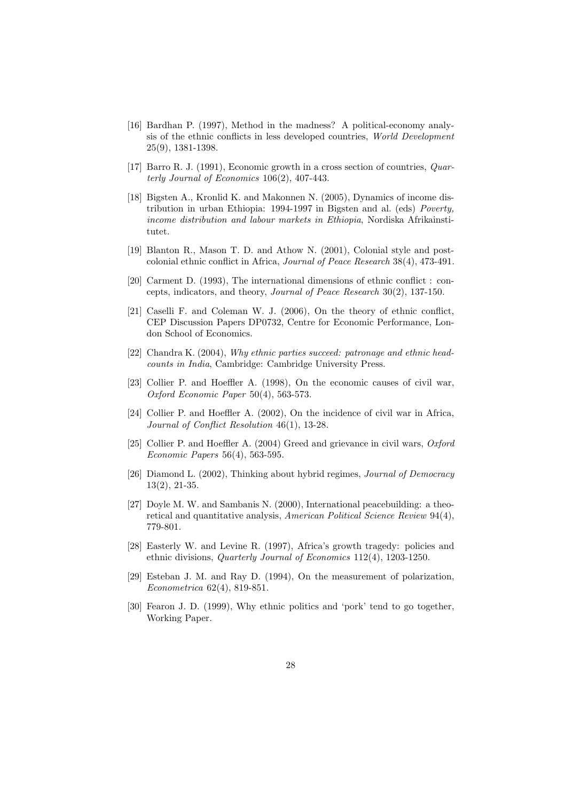- [16] Bardhan P. (1997), Method in the madness? A political-economy analysis of the ethnic conflicts in less developed countries, World Development 25(9), 1381-1398.
- [17] Barro R. J. (1991), Economic growth in a cross section of countries, Quarterly Journal of Economics 106(2), 407-443.
- [18] Bigsten A., Kronlid K. and Makonnen N. (2005), Dynamics of income distribution in urban Ethiopia: 1994-1997 in Bigsten and al. (eds) Poverty, income distribution and labour markets in Ethiopia, Nordiska Afrikainstitutet.
- [19] Blanton R., Mason T. D. and Athow N. (2001), Colonial style and postcolonial ethnic conflict in Africa, Journal of Peace Research 38(4), 473-491.
- [20] Carment D. (1993), The international dimensions of ethnic conflict : concepts, indicators, and theory, Journal of Peace Research 30(2), 137-150.
- [21] Caselli F. and Coleman W. J. (2006), On the theory of ethnic conflict, CEP Discussion Papers DP0732, Centre for Economic Performance, London School of Economics.
- [22] Chandra K. (2004), Why ethnic parties succeed: patronage and ethnic headcounts in India, Cambridge: Cambridge University Press.
- [23] Collier P. and Hoeffler A. (1998), On the economic causes of civil war, Oxford Economic Paper 50(4), 563-573.
- [24] Collier P. and Hoeffler A. (2002), On the incidence of civil war in Africa, Journal of Conflict Resolution 46(1), 13-28.
- [25] Collier P. and Hoeffler A. (2004) Greed and grievance in civil wars, Oxford Economic Papers 56(4), 563-595.
- [26] Diamond L. (2002), Thinking about hybrid regimes, Journal of Democracy 13(2), 21-35.
- [27] Doyle M. W. and Sambanis N. (2000), International peacebuilding: a theoretical and quantitative analysis, American Political Science Review 94(4), 779-801.
- [28] Easterly W. and Levine R. (1997), Africa's growth tragedy: policies and ethnic divisions, Quarterly Journal of Economics 112(4), 1203-1250.
- [29] Esteban J. M. and Ray D. (1994), On the measurement of polarization, Econometrica 62(4), 819-851.
- [30] Fearon J. D. (1999), Why ethnic politics and 'pork' tend to go together, Working Paper.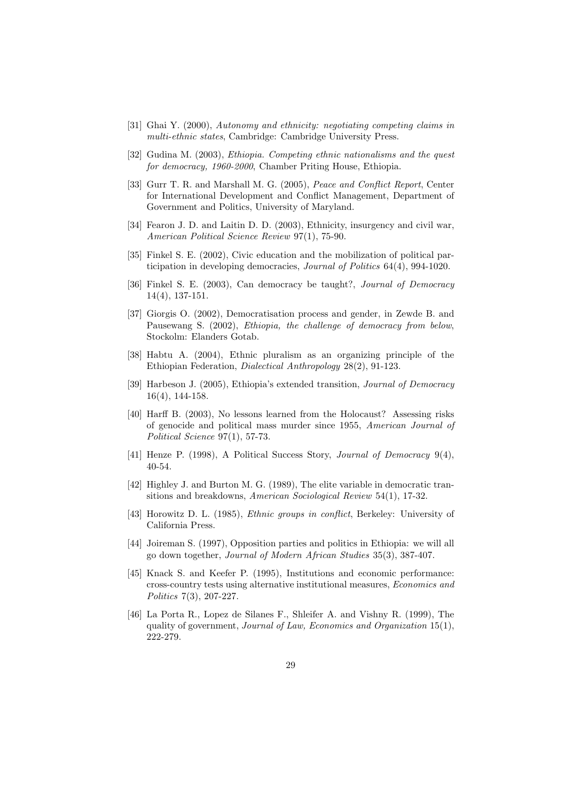- [31] Ghai Y. (2000), Autonomy and ethnicity: negotiating competing claims in multi-ethnic states, Cambridge: Cambridge University Press.
- [32] Gudina M. (2003), Ethiopia. Competing ethnic nationalisms and the quest for democracy, 1960-2000, Chamber Priting House, Ethiopia.
- [33] Gurr T. R. and Marshall M. G. (2005), Peace and Conflict Report, Center for International Development and Conflict Management, Department of Government and Politics, University of Maryland.
- [34] Fearon J. D. and Laitin D. D. (2003), Ethnicity, insurgency and civil war, American Political Science Review 97(1), 75-90.
- [35] Finkel S. E. (2002), Civic education and the mobilization of political participation in developing democracies, Journal of Politics 64(4), 994-1020.
- [36] Finkel S. E. (2003), Can democracy be taught?, Journal of Democracy 14(4), 137-151.
- [37] Giorgis O. (2002), Democratisation process and gender, in Zewde B. and Pausewang S. (2002), *Ethiopia*, the challenge of democracy from below, Stockolm: Elanders Gotab.
- [38] Habtu A. (2004), Ethnic pluralism as an organizing principle of the Ethiopian Federation, Dialectical Anthropology 28(2), 91-123.
- [39] Harbeson J. (2005), Ethiopia's extended transition, Journal of Democracy 16(4), 144-158.
- [40] Harff B. (2003), No lessons learned from the Holocaust? Assessing risks of genocide and political mass murder since 1955, American Journal of Political Science 97(1), 57-73.
- [41] Henze P. (1998), A Political Success Story, Journal of Democracy 9(4), 40-54.
- [42] Highley J. and Burton M. G. (1989), The elite variable in democratic transitions and breakdowns, American Sociological Review 54(1), 17-32.
- [43] Horowitz D. L. (1985), Ethnic groups in conflict, Berkeley: University of California Press.
- [44] Joireman S. (1997), Opposition parties and politics in Ethiopia: we will all go down together, Journal of Modern African Studies 35(3), 387-407.
- [45] Knack S. and Keefer P. (1995), Institutions and economic performance: cross-country tests using alternative institutional measures, Economics and Politics 7(3), 207-227.
- [46] La Porta R., Lopez de Silanes F., Shleifer A. and Vishny R. (1999), The quality of government, Journal of Law, Economics and Organization 15(1), 222-279.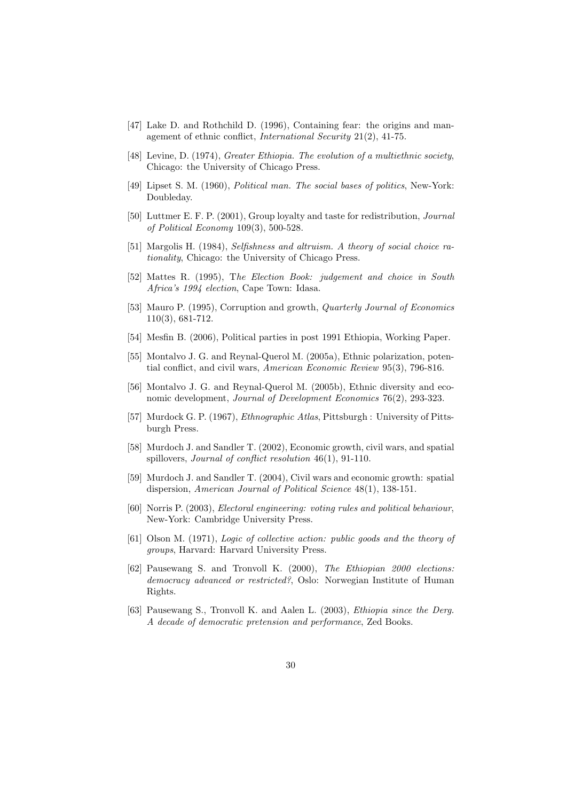- [47] Lake D. and Rothchild D. (1996), Containing fear: the origins and management of ethnic conflict, International Security 21(2), 41-75.
- [48] Levine, D. (1974), Greater Ethiopia. The evolution of a multiethnic society, Chicago: the University of Chicago Press.
- [49] Lipset S. M. (1960), *Political man. The social bases of politics*, New-York: Doubleday.
- [50] Luttmer E. F. P. (2001), Group loyalty and taste for redistribution, Journal of Political Economy 109(3), 500-528.
- [51] Margolis H. (1984), Selfishness and altruism. A theory of social choice rationality, Chicago: the University of Chicago Press.
- [52] Mattes R. (1995), The Election Book: judgement and choice in South Africa's 1994 election, Cape Town: Idasa.
- [53] Mauro P. (1995), Corruption and growth, *Quarterly Journal of Economics* 110(3), 681-712.
- [54] Mesfin B. (2006), Political parties in post 1991 Ethiopia, Working Paper.
- [55] Montalvo J. G. and Reynal-Querol M. (2005a), Ethnic polarization, potential conflict, and civil wars, American Economic Review 95(3), 796-816.
- [56] Montalvo J. G. and Reynal-Querol M. (2005b), Ethnic diversity and economic development, Journal of Development Economics 76(2), 293-323.
- [57] Murdock G. P. (1967), Ethnographic Atlas, Pittsburgh : University of Pittsburgh Press.
- [58] Murdoch J. and Sandler T. (2002), Economic growth, civil wars, and spatial spillovers, *Journal of conflict resolution* 46(1), 91-110.
- [59] Murdoch J. and Sandler T. (2004), Civil wars and economic growth: spatial dispersion, American Journal of Political Science 48(1), 138-151.
- [60] Norris P. (2003), Electoral engineering: voting rules and political behaviour, New-York: Cambridge University Press.
- [61] Olson M. (1971), Logic of collective action: public goods and the theory of groups, Harvard: Harvard University Press.
- [62] Pausewang S. and Tronvoll K. (2000), The Ethiopian 2000 elections: democracy advanced or restricted?, Oslo: Norwegian Institute of Human Rights.
- [63] Pausewang S., Tronvoll K. and Aalen L. (2003), Ethiopia since the Derg. A decade of democratic pretension and performance, Zed Books.